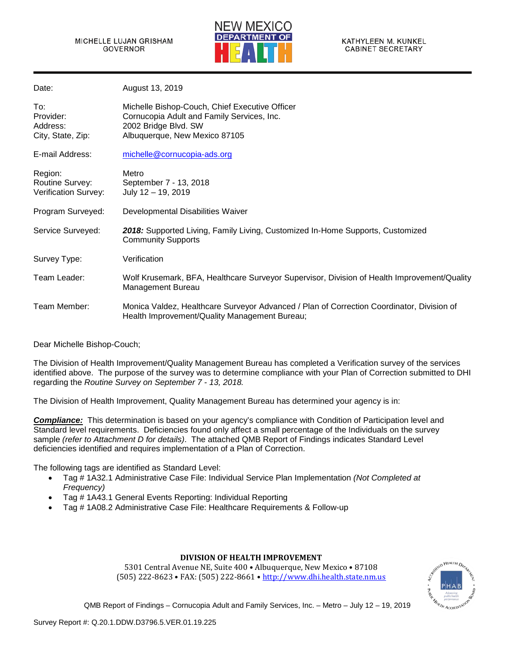

| Date:                                              | August 13, 2019                                                                                                                                       |
|----------------------------------------------------|-------------------------------------------------------------------------------------------------------------------------------------------------------|
| To:<br>Provider:<br>Address:<br>City, State, Zip:  | Michelle Bishop-Couch, Chief Executive Officer<br>Cornucopia Adult and Family Services, Inc.<br>2002 Bridge Blvd. SW<br>Albuquerque, New Mexico 87105 |
| E-mail Address:                                    | michelle@cornucopia-ads.org                                                                                                                           |
| Region:<br>Routine Survey:<br>Verification Survey: | Metro<br>September 7 - 13, 2018<br>July $12 - 19$ , 2019                                                                                              |
| Program Surveyed:                                  | Developmental Disabilities Waiver                                                                                                                     |
| Service Surveyed:                                  | 2018: Supported Living, Family Living, Customized In-Home Supports, Customized<br><b>Community Supports</b>                                           |
| Survey Type:                                       | Verification                                                                                                                                          |
| Team Leader:                                       | Wolf Krusemark, BFA, Healthcare Surveyor Supervisor, Division of Health Improvement/Quality<br>Management Bureau                                      |
| Team Member:                                       | Monica Valdez, Healthcare Surveyor Advanced / Plan of Correction Coordinator, Division of<br>Health Improvement/Quality Management Bureau;            |

Dear Michelle Bishop-Couch;

The Division of Health Improvement/Quality Management Bureau has completed a Verification survey of the services identified above. The purpose of the survey was to determine compliance with your Plan of Correction submitted to DHI regarding the *Routine Survey on September 7 - 13, 2018.*

The Division of Health Improvement, Quality Management Bureau has determined your agency is in:

*Compliance:* This determination is based on your agency's compliance with Condition of Participation level and Standard level requirements. Deficiencies found only affect a small percentage of the Individuals on the survey sample *(refer to Attachment D for details)*. The attached QMB Report of Findings indicates Standard Level deficiencies identified and requires implementation of a Plan of Correction.

The following tags are identified as Standard Level:

- Tag # 1A32.1 Administrative Case File: Individual Service Plan Implementation *(Not Completed at Frequency)*
- Tag # 1A43.1 General Events Reporting: Individual Reporting
- Tag # 1A08.2 Administrative Case File: Healthcare Requirements & Follow-up

### **DIVISION OF HEALTH IMPROVEMENT**

5301 Central Avenue NE, Suite 400 • Albuquerque, New Mexico • 87108 (505) 222-8623 • FAX: (505) 222-8661 • [http://www.dhi.health.state.nm.us](http://www.dhi.health.state.nm.us/)

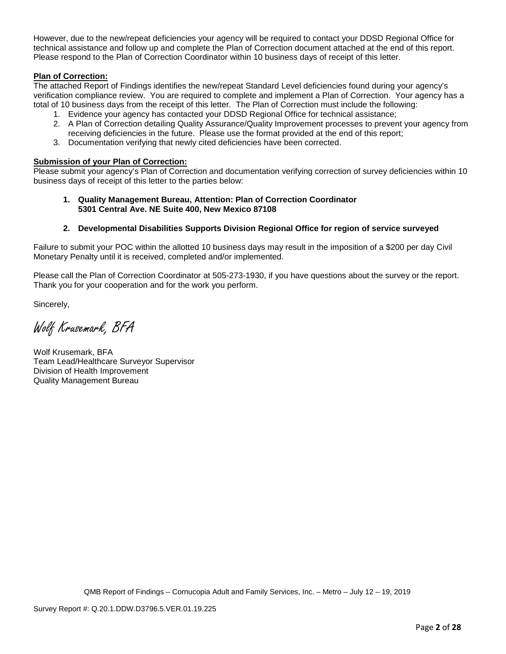However, due to the new/repeat deficiencies your agency will be required to contact your DDSD Regional Office for technical assistance and follow up and complete the Plan of Correction document attached at the end of this report. Please respond to the Plan of Correction Coordinator within 10 business days of receipt of this letter.

# **Plan of Correction:**

The attached Report of Findings identifies the new/repeat Standard Level deficiencies found during your agency's verification compliance review. You are required to complete and implement a Plan of Correction. Your agency has a total of 10 business days from the receipt of this letter. The Plan of Correction must include the following:

- 1. Evidence your agency has contacted your DDSD Regional Office for technical assistance;
- 2. A Plan of Correction detailing Quality Assurance/Quality Improvement processes to prevent your agency from receiving deficiencies in the future. Please use the format provided at the end of this report;
- 3. Documentation verifying that newly cited deficiencies have been corrected.

### **Submission of your Plan of Correction:**

Please submit your agency's Plan of Correction and documentation verifying correction of survey deficiencies within 10 business days of receipt of this letter to the parties below:

#### **1. Quality Management Bureau, Attention: Plan of Correction Coordinator 5301 Central Ave. NE Suite 400, New Mexico 87108**

### **2. Developmental Disabilities Supports Division Regional Office for region of service surveyed**

Failure to submit your POC within the allotted 10 business days may result in the imposition of a \$200 per day Civil Monetary Penalty until it is received, completed and/or implemented.

Please call the Plan of Correction Coordinator at 505-273-1930, if you have questions about the survey or the report. Thank you for your cooperation and for the work you perform.

Sincerely,

Wolf Krusemark, BFA

Wolf Krusemark, BFA Team Lead/Healthcare Surveyor Supervisor Division of Health Improvement Quality Management Bureau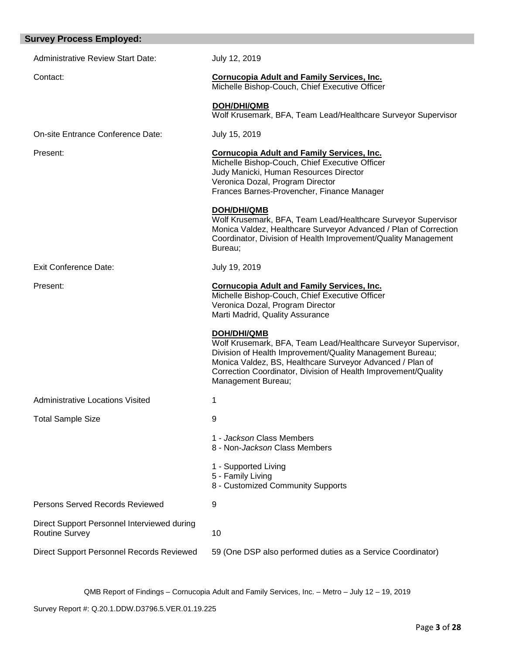| <b>Survey Process Employed:</b>                                      |                                                                                                                                                                                                                                                                                                        |  |  |
|----------------------------------------------------------------------|--------------------------------------------------------------------------------------------------------------------------------------------------------------------------------------------------------------------------------------------------------------------------------------------------------|--|--|
| <b>Administrative Review Start Date:</b>                             | July 12, 2019                                                                                                                                                                                                                                                                                          |  |  |
| Contact:                                                             | <b>Cornucopia Adult and Family Services, Inc.</b><br>Michelle Bishop-Couch, Chief Executive Officer                                                                                                                                                                                                    |  |  |
|                                                                      | <b>DOH/DHI/QMB</b><br>Wolf Krusemark, BFA, Team Lead/Healthcare Surveyor Supervisor                                                                                                                                                                                                                    |  |  |
| On-site Entrance Conference Date:                                    | July 15, 2019                                                                                                                                                                                                                                                                                          |  |  |
| Present:                                                             | <b>Cornucopia Adult and Family Services, Inc.</b><br>Michelle Bishop-Couch, Chief Executive Officer<br>Judy Manicki, Human Resources Director<br>Veronica Dozal, Program Director<br>Frances Barnes-Provencher, Finance Manager                                                                        |  |  |
|                                                                      | <b>DOH/DHI/QMB</b><br>Wolf Krusemark, BFA, Team Lead/Healthcare Surveyor Supervisor<br>Monica Valdez, Healthcare Surveyor Advanced / Plan of Correction<br>Coordinator, Division of Health Improvement/Quality Management<br>Bureau;                                                                   |  |  |
| <b>Exit Conference Date:</b>                                         | July 19, 2019                                                                                                                                                                                                                                                                                          |  |  |
| Present:                                                             | <b>Cornucopia Adult and Family Services, Inc.</b><br>Michelle Bishop-Couch, Chief Executive Officer<br>Veronica Dozal, Program Director<br>Marti Madrid, Quality Assurance                                                                                                                             |  |  |
|                                                                      | <b>DOH/DHI/QMB</b><br>Wolf Krusemark, BFA, Team Lead/Healthcare Surveyor Supervisor,<br>Division of Health Improvement/Quality Management Bureau;<br>Monica Valdez, BS, Healthcare Surveyor Advanced / Plan of<br>Correction Coordinator, Division of Health Improvement/Quality<br>Management Bureau; |  |  |
| <b>Administrative Locations Visited</b>                              | 1                                                                                                                                                                                                                                                                                                      |  |  |
| <b>Total Sample Size</b>                                             | 9                                                                                                                                                                                                                                                                                                      |  |  |
|                                                                      | 1 - Jackson Class Members<br>8 - Non-Jackson Class Members                                                                                                                                                                                                                                             |  |  |
|                                                                      | 1 - Supported Living<br>5 - Family Living<br>8 - Customized Community Supports                                                                                                                                                                                                                         |  |  |
| Persons Served Records Reviewed                                      | 9                                                                                                                                                                                                                                                                                                      |  |  |
| Direct Support Personnel Interviewed during<br><b>Routine Survey</b> | 10                                                                                                                                                                                                                                                                                                     |  |  |
| <b>Direct Support Personnel Records Reviewed</b>                     | 59 (One DSP also performed duties as a Service Coordinator)                                                                                                                                                                                                                                            |  |  |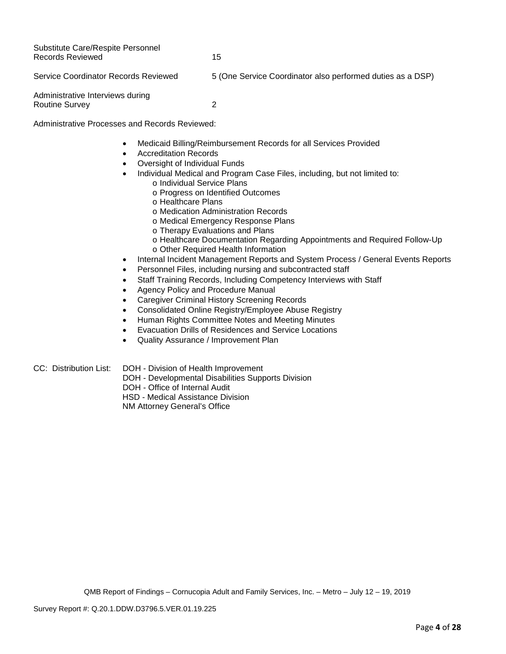Substitute Care/Respite Personnel Records Reviewed 15 Service Coordinator Records Reviewed 5 (One Service Coordinator also performed duties as a DSP)

Administrative Interviews during Routine Survey 2

Administrative Processes and Records Reviewed:

- Medicaid Billing/Reimbursement Records for all Services Provided
- Accreditation Records
- Oversight of Individual Funds
	- Individual Medical and Program Case Files, including, but not limited to:
		- o Individual Service Plans
			- o Progress on Identified Outcomes
			- o Healthcare Plans
			- o Medication Administration Records
			- o Medical Emergency Response Plans
			- o Therapy Evaluations and Plans
			- o Healthcare Documentation Regarding Appointments and Required Follow-Up o Other Required Health Information
- Internal Incident Management Reports and System Process / General Events Reports
- Personnel Files, including nursing and subcontracted staff
- Staff Training Records, Including Competency Interviews with Staff
- Agency Policy and Procedure Manual
- Caregiver Criminal History Screening Records
- Consolidated Online Registry/Employee Abuse Registry
- Human Rights Committee Notes and Meeting Minutes
- Evacuation Drills of Residences and Service Locations
- Quality Assurance / Improvement Plan

CC: Distribution List: DOH - Division of Health Improvement

- DOH Developmental Disabilities Supports Division
	- DOH Office of Internal Audit

HSD - Medical Assistance Division

NM Attorney General's Office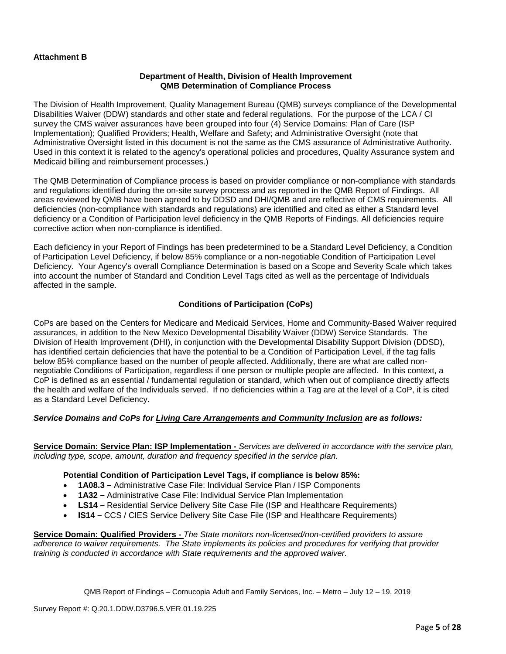# **Attachment B**

#### **Department of Health, Division of Health Improvement QMB Determination of Compliance Process**

The Division of Health Improvement, Quality Management Bureau (QMB) surveys compliance of the Developmental Disabilities Waiver (DDW) standards and other state and federal regulations. For the purpose of the LCA / CI survey the CMS waiver assurances have been grouped into four (4) Service Domains: Plan of Care (ISP Implementation); Qualified Providers; Health, Welfare and Safety; and Administrative Oversight (note that Administrative Oversight listed in this document is not the same as the CMS assurance of Administrative Authority. Used in this context it is related to the agency's operational policies and procedures, Quality Assurance system and Medicaid billing and reimbursement processes.)

The QMB Determination of Compliance process is based on provider compliance or non-compliance with standards and regulations identified during the on-site survey process and as reported in the QMB Report of Findings. All areas reviewed by QMB have been agreed to by DDSD and DHI/QMB and are reflective of CMS requirements. All deficiencies (non-compliance with standards and regulations) are identified and cited as either a Standard level deficiency or a Condition of Participation level deficiency in the QMB Reports of Findings. All deficiencies require corrective action when non-compliance is identified.

Each deficiency in your Report of Findings has been predetermined to be a Standard Level Deficiency, a Condition of Participation Level Deficiency, if below 85% compliance or a non-negotiable Condition of Participation Level Deficiency. Your Agency's overall Compliance Determination is based on a Scope and Severity Scale which takes into account the number of Standard and Condition Level Tags cited as well as the percentage of Individuals affected in the sample.

## **Conditions of Participation (CoPs)**

CoPs are based on the Centers for Medicare and Medicaid Services, Home and Community-Based Waiver required assurances, in addition to the New Mexico Developmental Disability Waiver (DDW) Service Standards. The Division of Health Improvement (DHI), in conjunction with the Developmental Disability Support Division (DDSD), has identified certain deficiencies that have the potential to be a Condition of Participation Level, if the tag falls below 85% compliance based on the number of people affected. Additionally, there are what are called nonnegotiable Conditions of Participation, regardless if one person or multiple people are affected. In this context, a CoP is defined as an essential / fundamental regulation or standard, which when out of compliance directly affects the health and welfare of the Individuals served. If no deficiencies within a Tag are at the level of a CoP, it is cited as a Standard Level Deficiency.

# *Service Domains and CoPs for Living Care Arrangements and Community Inclusion are as follows:*

**Service Domain: Service Plan: ISP Implementation -** *Services are delivered in accordance with the service plan, including type, scope, amount, duration and frequency specified in the service plan.*

### **Potential Condition of Participation Level Tags, if compliance is below 85%:**

- **1A08.3 –** Administrative Case File: Individual Service Plan / ISP Components
- **1A32 –** Administrative Case File: Individual Service Plan Implementation
- **LS14 –** Residential Service Delivery Site Case File (ISP and Healthcare Requirements)
- **IS14 –** CCS / CIES Service Delivery Site Case File (ISP and Healthcare Requirements)

**Service Domain: Qualified Providers -** *The State monitors non-licensed/non-certified providers to assure adherence to waiver requirements. The State implements its policies and procedures for verifying that provider training is conducted in accordance with State requirements and the approved waiver.*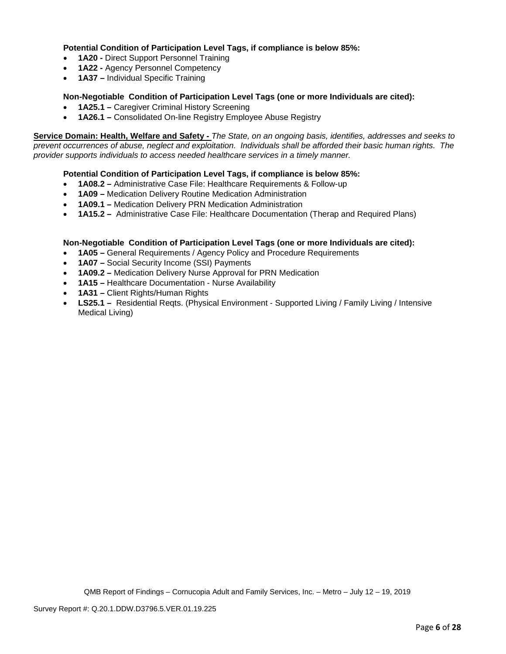# **Potential Condition of Participation Level Tags, if compliance is below 85%:**

- **1A20 -** Direct Support Personnel Training
- **1A22 -** Agency Personnel Competency
- **1A37 –** Individual Specific Training

### **Non-Negotiable Condition of Participation Level Tags (one or more Individuals are cited):**

- **1A25.1 –** Caregiver Criminal History Screening
- **1A26.1 –** Consolidated On-line Registry Employee Abuse Registry

**Service Domain: Health, Welfare and Safety -** *The State, on an ongoing basis, identifies, addresses and seeks to prevent occurrences of abuse, neglect and exploitation. Individuals shall be afforded their basic human rights. The provider supports individuals to access needed healthcare services in a timely manner.*

## **Potential Condition of Participation Level Tags, if compliance is below 85%:**

- **1A08.2 –** Administrative Case File: Healthcare Requirements & Follow-up
- **1A09 –** Medication Delivery Routine Medication Administration
- **1A09.1 –** Medication Delivery PRN Medication Administration
- **1A15.2 –** Administrative Case File: Healthcare Documentation (Therap and Required Plans)

### **Non-Negotiable Condition of Participation Level Tags (one or more Individuals are cited):**

- **1A05 –** General Requirements / Agency Policy and Procedure Requirements
- **1A07 –** Social Security Income (SSI) Payments
- **1A09.2 –** Medication Delivery Nurse Approval for PRN Medication
- **1A15 –** Healthcare Documentation Nurse Availability
- **1A31 –** Client Rights/Human Rights
- **LS25.1 –** Residential Reqts. (Physical Environment Supported Living / Family Living / Intensive Medical Living)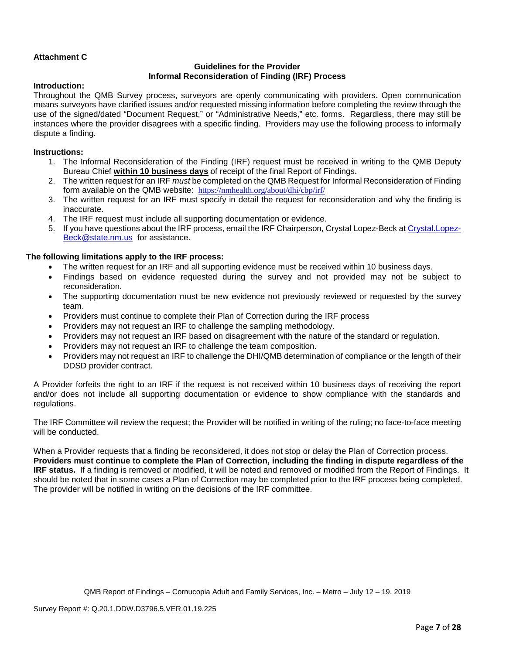# **Attachment C**

# **Guidelines for the Provider Informal Reconsideration of Finding (IRF) Process**

### **Introduction:**

Throughout the QMB Survey process, surveyors are openly communicating with providers. Open communication means surveyors have clarified issues and/or requested missing information before completing the review through the use of the signed/dated "Document Request," or "Administrative Needs," etc. forms. Regardless, there may still be instances where the provider disagrees with a specific finding. Providers may use the following process to informally dispute a finding.

## **Instructions:**

- 1. The Informal Reconsideration of the Finding (IRF) request must be received in writing to the QMB Deputy Bureau Chief **within 10 business days** of receipt of the final Report of Findings.
- 2. The written request for an IRF *must* be completed on the QMB Request for Informal Reconsideration of Finding form available on the QMB website: <https://nmhealth.org/about/dhi/cbp/irf/>
- 3. The written request for an IRF must specify in detail the request for reconsideration and why the finding is inaccurate.
- 4. The IRF request must include all supporting documentation or evidence.
- 5. If you have questions about the IRF process, email the IRF Chairperson, Crystal Lopez-Beck a[t Crystal.Lopez-](mailto:Crystal.Lopez-Beck@state.nm.us)[Beck@state.nm.us](mailto:Crystal.Lopez-Beck@state.nm.us) for assistance.

## **The following limitations apply to the IRF process:**

- The written request for an IRF and all supporting evidence must be received within 10 business days.
- Findings based on evidence requested during the survey and not provided may not be subject to reconsideration.
- The supporting documentation must be new evidence not previously reviewed or requested by the survey team.
- Providers must continue to complete their Plan of Correction during the IRF process
- Providers may not request an IRF to challenge the sampling methodology.
- Providers may not request an IRF based on disagreement with the nature of the standard or regulation.
- Providers may not request an IRF to challenge the team composition.
- Providers may not request an IRF to challenge the DHI/QMB determination of compliance or the length of their DDSD provider contract.

A Provider forfeits the right to an IRF if the request is not received within 10 business days of receiving the report and/or does not include all supporting documentation or evidence to show compliance with the standards and regulations.

The IRF Committee will review the request; the Provider will be notified in writing of the ruling; no face-to-face meeting will be conducted.

When a Provider requests that a finding be reconsidered, it does not stop or delay the Plan of Correction process. **Providers must continue to complete the Plan of Correction, including the finding in dispute regardless of the IRF status.** If a finding is removed or modified, it will be noted and removed or modified from the Report of Findings. It should be noted that in some cases a Plan of Correction may be completed prior to the IRF process being completed. The provider will be notified in writing on the decisions of the IRF committee.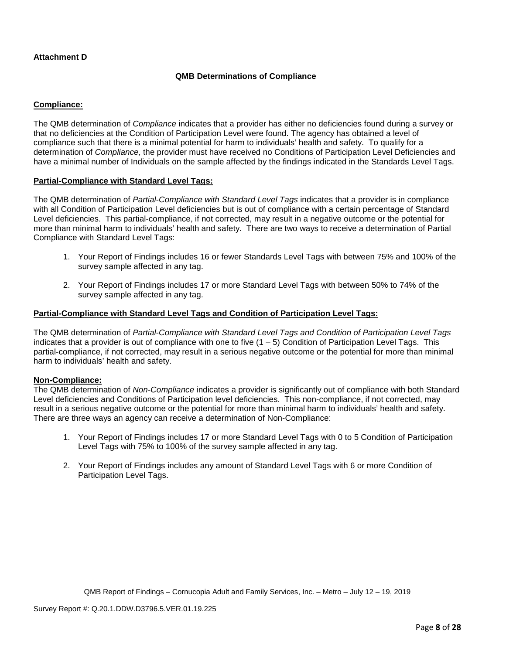# **Attachment D**

# **QMB Determinations of Compliance**

# **Compliance:**

The QMB determination of *Compliance* indicates that a provider has either no deficiencies found during a survey or that no deficiencies at the Condition of Participation Level were found. The agency has obtained a level of compliance such that there is a minimal potential for harm to individuals' health and safety. To qualify for a determination of *Compliance*, the provider must have received no Conditions of Participation Level Deficiencies and have a minimal number of Individuals on the sample affected by the findings indicated in the Standards Level Tags.

## **Partial-Compliance with Standard Level Tags:**

The QMB determination of *Partial-Compliance with Standard Level Tags* indicates that a provider is in compliance with all Condition of Participation Level deficiencies but is out of compliance with a certain percentage of Standard Level deficiencies. This partial-compliance, if not corrected, may result in a negative outcome or the potential for more than minimal harm to individuals' health and safety. There are two ways to receive a determination of Partial Compliance with Standard Level Tags:

- 1. Your Report of Findings includes 16 or fewer Standards Level Tags with between 75% and 100% of the survey sample affected in any tag.
- 2. Your Report of Findings includes 17 or more Standard Level Tags with between 50% to 74% of the survey sample affected in any tag.

## **Partial-Compliance with Standard Level Tags and Condition of Participation Level Tags:**

The QMB determination of *Partial-Compliance with Standard Level Tags and Condition of Participation Level Tags*  indicates that a provider is out of compliance with one to five (1 – 5) Condition of Participation Level Tags. This partial-compliance, if not corrected, may result in a serious negative outcome or the potential for more than minimal harm to individuals' health and safety.

### **Non-Compliance:**

The QMB determination of *Non-Compliance* indicates a provider is significantly out of compliance with both Standard Level deficiencies and Conditions of Participation level deficiencies. This non-compliance, if not corrected, may result in a serious negative outcome or the potential for more than minimal harm to individuals' health and safety. There are three ways an agency can receive a determination of Non-Compliance:

- 1. Your Report of Findings includes 17 or more Standard Level Tags with 0 to 5 Condition of Participation Level Tags with 75% to 100% of the survey sample affected in any tag.
- 2. Your Report of Findings includes any amount of Standard Level Tags with 6 or more Condition of Participation Level Tags.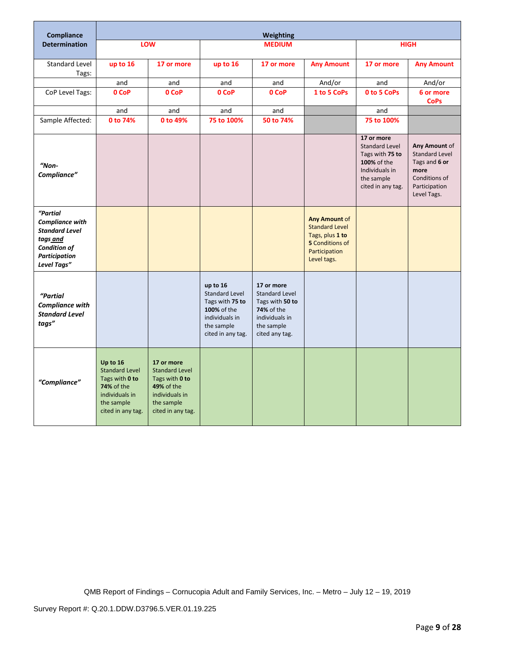| <b>Compliance</b>                                                                                                              | Weighting                                                                                                                     |                                                                                                                                 |                                                                                                                          |                                                                                                                               |                                                                                                                            |                                                                                                                            |                                                                                                           |
|--------------------------------------------------------------------------------------------------------------------------------|-------------------------------------------------------------------------------------------------------------------------------|---------------------------------------------------------------------------------------------------------------------------------|--------------------------------------------------------------------------------------------------------------------------|-------------------------------------------------------------------------------------------------------------------------------|----------------------------------------------------------------------------------------------------------------------------|----------------------------------------------------------------------------------------------------------------------------|-----------------------------------------------------------------------------------------------------------|
| <b>Determination</b>                                                                                                           |                                                                                                                               | LOW                                                                                                                             |                                                                                                                          | <b>MEDIUM</b>                                                                                                                 |                                                                                                                            |                                                                                                                            | <b>HIGH</b>                                                                                               |
| <b>Standard Level</b><br>Tags:                                                                                                 | up to 16                                                                                                                      | 17 or more                                                                                                                      | up to 16                                                                                                                 | 17 or more                                                                                                                    | <b>Any Amount</b>                                                                                                          | 17 or more                                                                                                                 | <b>Any Amount</b>                                                                                         |
|                                                                                                                                | and                                                                                                                           | and                                                                                                                             | and                                                                                                                      | and                                                                                                                           | And/or                                                                                                                     | and                                                                                                                        | And/or                                                                                                    |
| CoP Level Tags:                                                                                                                | 0 CoP                                                                                                                         | 0 CoP                                                                                                                           | 0 CoP                                                                                                                    | 0 CoP                                                                                                                         | 1 to 5 CoPs                                                                                                                | 0 to 5 CoPs                                                                                                                | 6 or more<br><b>CoPs</b>                                                                                  |
|                                                                                                                                | and                                                                                                                           | and                                                                                                                             | and                                                                                                                      | and                                                                                                                           |                                                                                                                            | and                                                                                                                        |                                                                                                           |
| Sample Affected:                                                                                                               | 0 to 74%                                                                                                                      | 0 to 49%                                                                                                                        | 75 to 100%                                                                                                               | 50 to 74%                                                                                                                     |                                                                                                                            | 75 to 100%                                                                                                                 |                                                                                                           |
| $"Non-$<br>Compliance"                                                                                                         |                                                                                                                               |                                                                                                                                 |                                                                                                                          |                                                                                                                               |                                                                                                                            | 17 or more<br><b>Standard Level</b><br>Tags with 75 to<br>100% of the<br>Individuals in<br>the sample<br>cited in any tag. | Any Amount of<br>Standard Level<br>Tags and 6 or<br>more<br>Conditions of<br>Participation<br>Level Tags. |
| "Partial<br><b>Compliance with</b><br><b>Standard Level</b><br>tags and<br><b>Condition of</b><br>Participation<br>Level Tags" |                                                                                                                               |                                                                                                                                 |                                                                                                                          |                                                                                                                               | <b>Any Amount of</b><br><b>Standard Level</b><br>Tags, plus 1 to<br><b>5</b> Conditions of<br>Participation<br>Level tags. |                                                                                                                            |                                                                                                           |
| "Partial<br><b>Compliance with</b><br><b>Standard Level</b><br>tags"                                                           |                                                                                                                               |                                                                                                                                 | up to 16<br><b>Standard Level</b><br>Tags with 75 to<br>100% of the<br>individuals in<br>the sample<br>cited in any tag. | 17 or more<br><b>Standard Level</b><br>Tags with 50 to<br><b>74%</b> of the<br>individuals in<br>the sample<br>cited any tag. |                                                                                                                            |                                                                                                                            |                                                                                                           |
| "Compliance"                                                                                                                   | Up to 16<br><b>Standard Level</b><br>Tags with 0 to<br><b>74%</b> of the<br>individuals in<br>the sample<br>cited in any tag. | 17 or more<br><b>Standard Level</b><br>Tags with 0 to<br><b>49% of the</b><br>individuals in<br>the sample<br>cited in any tag. |                                                                                                                          |                                                                                                                               |                                                                                                                            |                                                                                                                            |                                                                                                           |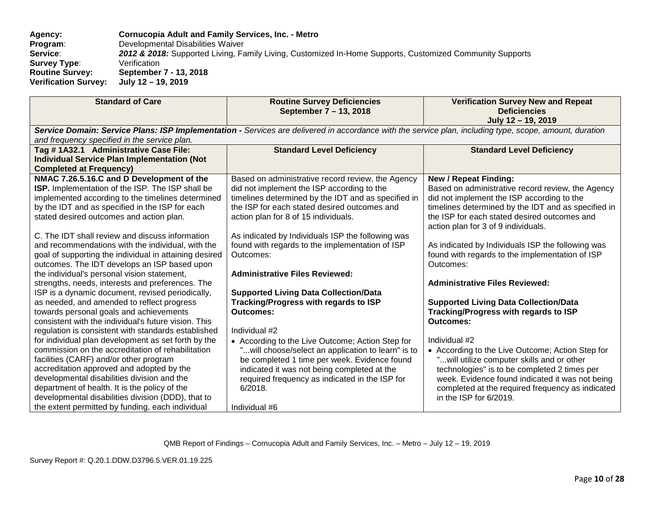**Agency: Cornucopia Adult and Family Services, Inc. - Metro Program:** Developmental Disabilities Waiver<br>**Service: 2012 & 2018:** Supported Living, Fa 2012 & 2018: Supported Living, Family Living, Customized In-Home Supports, Customized Community Supports<br>Verification **Survey Type:<br>Routine Survey: Routine Survey: September 7 - 13, 2018 Verification Survey:** 

| <b>Standard of Care</b>                                                                                                                                                                                                                                                                                                                                                                                                                                                                                                                                                                                                                                                                                                                                                                                                                                                                                                                                                                                                                                                                                                                                                                                                                         | <b>Routine Survey Deficiencies</b><br>September 7 – 13, 2018                                                                                                                                                                                                                                                                                                                                                                                                                                                                                                                                                                                                                                                                                                                                                                     | <b>Verification Survey New and Repeat</b><br><b>Deficiencies</b><br>July 12 - 19, 2019                                                                                                                                                                                                                                                                                                                                                                                                                                                                                                                                                                                                                                                                                                                                                                       |  |  |  |
|-------------------------------------------------------------------------------------------------------------------------------------------------------------------------------------------------------------------------------------------------------------------------------------------------------------------------------------------------------------------------------------------------------------------------------------------------------------------------------------------------------------------------------------------------------------------------------------------------------------------------------------------------------------------------------------------------------------------------------------------------------------------------------------------------------------------------------------------------------------------------------------------------------------------------------------------------------------------------------------------------------------------------------------------------------------------------------------------------------------------------------------------------------------------------------------------------------------------------------------------------|----------------------------------------------------------------------------------------------------------------------------------------------------------------------------------------------------------------------------------------------------------------------------------------------------------------------------------------------------------------------------------------------------------------------------------------------------------------------------------------------------------------------------------------------------------------------------------------------------------------------------------------------------------------------------------------------------------------------------------------------------------------------------------------------------------------------------------|--------------------------------------------------------------------------------------------------------------------------------------------------------------------------------------------------------------------------------------------------------------------------------------------------------------------------------------------------------------------------------------------------------------------------------------------------------------------------------------------------------------------------------------------------------------------------------------------------------------------------------------------------------------------------------------------------------------------------------------------------------------------------------------------------------------------------------------------------------------|--|--|--|
| Service Domain: Service Plans: ISP Implementation - Services are delivered in accordance with the service plan, including type, scope, amount, duration<br>and frequency specified in the service plan.                                                                                                                                                                                                                                                                                                                                                                                                                                                                                                                                                                                                                                                                                                                                                                                                                                                                                                                                                                                                                                         |                                                                                                                                                                                                                                                                                                                                                                                                                                                                                                                                                                                                                                                                                                                                                                                                                                  |                                                                                                                                                                                                                                                                                                                                                                                                                                                                                                                                                                                                                                                                                                                                                                                                                                                              |  |  |  |
| Tag #1A32.1 Administrative Case File:<br><b>Individual Service Plan Implementation (Not</b><br><b>Completed at Frequency)</b>                                                                                                                                                                                                                                                                                                                                                                                                                                                                                                                                                                                                                                                                                                                                                                                                                                                                                                                                                                                                                                                                                                                   | <b>Standard Level Deficiency</b>                                                                                                                                                                                                                                                                                                                                                                                                                                                                                                                                                                                                                                                                                                                                                                                                 | <b>Standard Level Deficiency</b>                                                                                                                                                                                                                                                                                                                                                                                                                                                                                                                                                                                                                                                                                                                                                                                                                             |  |  |  |
| NMAC 7.26.5.16.C and D Development of the<br>ISP. Implementation of the ISP. The ISP shall be<br>implemented according to the timelines determined<br>by the IDT and as specified in the ISP for each<br>stated desired outcomes and action plan.<br>C. The IDT shall review and discuss information<br>and recommendations with the individual, with the<br>goal of supporting the individual in attaining desired<br>outcomes. The IDT develops an ISP based upon<br>the individual's personal vision statement,<br>strengths, needs, interests and preferences. The<br>ISP is a dynamic document, revised periodically,<br>as needed, and amended to reflect progress<br>towards personal goals and achievements<br>consistent with the individual's future vision. This<br>regulation is consistent with standards established<br>for individual plan development as set forth by the<br>commission on the accreditation of rehabilitation<br>facilities (CARF) and/or other program<br>accreditation approved and adopted by the<br>developmental disabilities division and the<br>department of health. It is the policy of the<br>developmental disabilities division (DDD), that to<br>the extent permitted by funding, each individual | Based on administrative record review, the Agency<br>did not implement the ISP according to the<br>timelines determined by the IDT and as specified in<br>the ISP for each stated desired outcomes and<br>action plan for 8 of 15 individuals.<br>As indicated by Individuals ISP the following was<br>found with regards to the implementation of ISP<br>Outcomes:<br><b>Administrative Files Reviewed:</b><br><b>Supported Living Data Collection/Data</b><br>Tracking/Progress with regards to ISP<br><b>Outcomes:</b><br>Individual #2<br>• According to the Live Outcome; Action Step for<br>will choose/select an application to learn" is to<br>be completed 1 time per week. Evidence found<br>indicated it was not being completed at the<br>required frequency as indicated in the ISP for<br>6/2018.<br>Individual #6 | <b>New / Repeat Finding:</b><br>Based on administrative record review, the Agency<br>did not implement the ISP according to the<br>timelines determined by the IDT and as specified in<br>the ISP for each stated desired outcomes and<br>action plan for 3 of 9 individuals.<br>As indicated by Individuals ISP the following was<br>found with regards to the implementation of ISP<br>Outcomes:<br><b>Administrative Files Reviewed:</b><br><b>Supported Living Data Collection/Data</b><br>Tracking/Progress with regards to ISP<br><b>Outcomes:</b><br>Individual #2<br>• According to the Live Outcome; Action Step for<br>"will utilize computer skills and or other<br>technologies" is to be completed 2 times per<br>week. Evidence found indicated it was not being<br>completed at the required frequency as indicated<br>in the ISP for 6/2019. |  |  |  |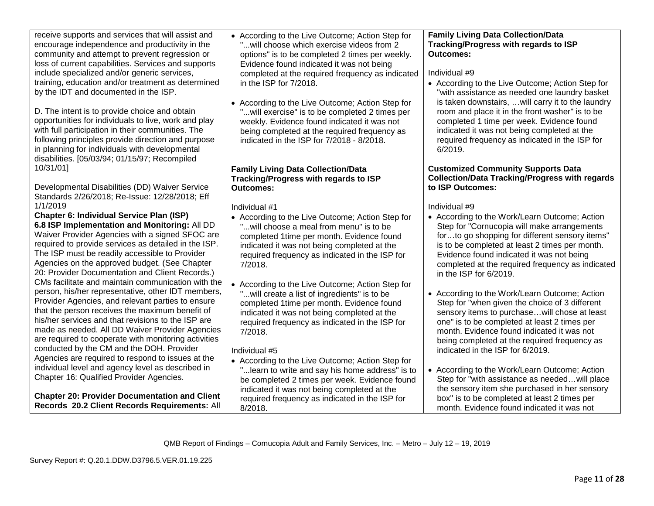receive supports and services that will assist and encourage independence and productivity in the community and attempt to prevent regression or loss of current capabilities. Services and supports include specialized and/or generic services, training, education and/or treatment as determined by the IDT and documented in the ISP.

D. The intent is to provide choice and obtain opportunities for individuals to live, work and play with full participation in their communities. The following principles provide direction and purpose in planning for individuals with developmental disabilities. [05/03/94; 01/15/97; Recompiled 10/31/01]

Developmental Disabilities (DD) Waiver Service Standards 2/26/2018; Re-Issue: 12/28/2018; Eff 1/1/2019

**Chapter 6: Individual Service Plan (ISP) 6.8 ISP Implementation and Monitoring:** All DD Waiver Provider Agencies with a signed SFOC are required to provide services as detailed in the ISP. The ISP must be readily accessible to Provider Agencies on the approved budget. (See Chapter 20: Provider Documentation and Client Records.) CMs facilitate and maintain communication with the person, his/her representative, other IDT members, Provider Agencies, and relevant parties to ensure that the person receives the maximum benefit of his/her services and that revisions to the ISP are made as needed. All DD Waiver Provider Agencies are required to cooperate with monitoring activities conducted by the CM and the DOH. Provider Agencies are required to respond to issues at the individual level and agency level as described in Chapter 16: Qualified Provider Agencies.

**Chapter 20: Provider Documentation and Client Records 20.2 Client Records Requirements:** All • According to the Live Outcome; Action Step for "...will choose which exercise videos from 2 options" is to be completed 2 times per weekly. Evidence found indicated it was not being completed at the required frequency as indicated in the ISP for 7/2018.

• According to the Live Outcome; Action Step for "...will exercise" is to be completed 2 times per weekly. Evidence found indicated it was not being completed at the required frequency as indicated in the ISP for 7/2018 - 8/2018.

# **Family Living Data Collection/Data Tracking/Progress with regards to ISP Outcomes:**

Individual #1

- According to the Live Outcome; Action Step for "...will choose a meal from menu" is to be completed 1time per month. Evidence found indicated it was not being completed at the required frequency as indicated in the ISP for 7/2018.
- According to the Live Outcome; Action Step for "...will create a list of ingredients" is to be completed 1time per month. Evidence found indicated it was not being completed at the required frequency as indicated in the ISP for 7/2018.

# Individual #5

• According to the Live Outcome; Action Step for "...learn to write and say his home address" is to be completed 2 times per week. Evidence found indicated it was not being completed at the required frequency as indicated in the ISP for 8/2018.

# **Family Living Data Collection/Data Tracking/Progress with regards to ISP Outcomes:**

# Individual #9

• According to the Live Outcome; Action Step for "with assistance as needed one laundry basket is taken downstairs, …will carry it to the laundry room and place it in the front washer" is to be completed 1 time per week. Evidence found indicated it was not being completed at the required frequency as indicated in the ISP for 6/2019.

# **Customized Community Supports Data Collection/Data Tracking/Progress with regards to ISP Outcomes:**

# Individual #9

- According to the Work/Learn Outcome; Action Step for "Cornucopia will make arrangements for…to go shopping for different sensory items" is to be completed at least 2 times per month. Evidence found indicated it was not being completed at the required frequency as indicated in the ISP for 6/2019.
- According to the Work/Learn Outcome; Action Step for "when given the choice of 3 different sensory items to purchase…will chose at least one" is to be completed at least 2 times per month. Evidence found indicated it was not being completed at the required frequency as indicated in the ISP for 6/2019.
- According to the Work/Learn Outcome; Action Step for "with assistance as needed…will place the sensory item she purchased in her sensory box" is to be completed at least 2 times per month. Evidence found indicated it was not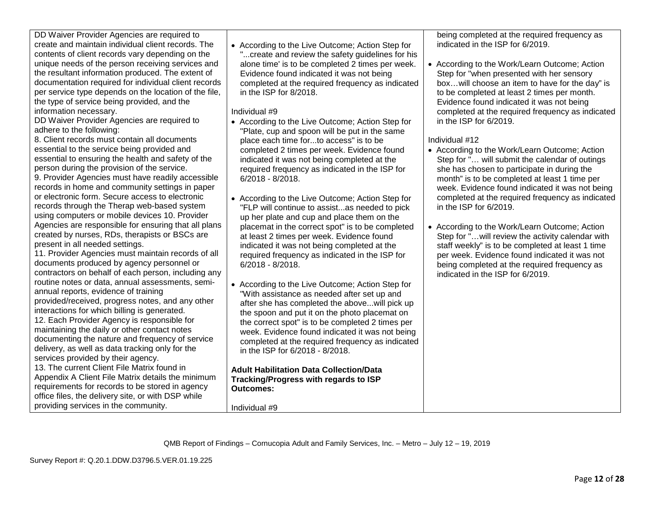| routine notes or data, annual assessments, semi-<br>annual reports, evidence of training<br>provided/received, progress notes, and any other<br>interactions for which billing is generated.<br>12. Each Provider Agency is responsible for<br>maintaining the daily or other contact notes<br>documenting the nature and frequency of service<br>delivery, as well as data tracking only for the<br>services provided by their agency.<br>13. The current Client File Matrix found in<br>Appendix A Client File Matrix details the minimum<br>requirements for records to be stored in agency<br>office files, the delivery site, or with DSP while<br>providing services in the community. | Ac<br>"V<br>af<br>th<br>th<br>W <sub>6</sub><br>СC<br>in.<br>Adu<br>Trac<br>Outo<br>Indiv |
|----------------------------------------------------------------------------------------------------------------------------------------------------------------------------------------------------------------------------------------------------------------------------------------------------------------------------------------------------------------------------------------------------------------------------------------------------------------------------------------------------------------------------------------------------------------------------------------------------------------------------------------------------------------------------------------------|-------------------------------------------------------------------------------------------|
| QMB Report of Findings -<br>Survey Report #: Q.20.1.DDW.D3796.5.VER.01.19.225                                                                                                                                                                                                                                                                                                                                                                                                                                                                                                                                                                                                                |                                                                                           |

DD Waiver Provider Agencies are required to create and maintain individual client records. The contents of client records vary depending on the unique needs of the person receiving services and the resultant information produced. The extent of documentation required for individual client records per service type depends on the location of the file, the type of service being provided, and the information necessary.

DD Waiver Provider Agencies are required to adhere to the following:

8. Client records must contain all documents essential to the service being provided and essential to ensuring the health and safety of the person during the provision of the service. 9. Provider Agencies must have readily accessible records in home and community settings in paper

or electronic form. Secure access to electronic records through the Therap web-based system using computers or mobile devices 10. Provider Agencies are responsible for ensuring that all plans created by nurses, RDs, therapists or BSCs are present in all needed settings.

11. Provider Agencies must maintain records of all documents produced by agency personnel or contractors on behalf of each person, including any routine notes or data, annual assessments, semi• According to the Live Outcome; Action Step for "...create and review the safety guidelines for his alone time' is to be completed 2 times per week. Evidence found indicated it was not being completed at the required frequency as indicated in the ISP for 8/2018.

Individual #9

- According to the Live Outcome; Action Step for "Plate, cup and spoon will be put in the same place each time for...to access" is to be completed 2 times per week. Evidence found indicated it was not being completed at the required frequency as indicated in the ISP for 6/2018 - 8/2018.
- According to the Live Outcome; Action Step for "FLP will continue to assist...as needed to pick up her plate and cup and place them on the placemat in the correct spot" is to be completed at least 2 times per week. Evidence found indicated it was not being completed at the required frequency as indicated in the ISP for 6/2018 - 8/2018.
- ecording to the Live Outcome; Action Step for Vith assistance as needed after set up and ter she has completed the above...will pick up e spoon and put it on the photo placemat on e correct spot" is to be completed 2 times per eek. Evidence found indicated it was not being ompleted at the required frequency as indicated the ISP for 6/2018 - 8/2018.

**Adult Habilitation Data Collection/Data Tracking/Progress with regards to ISP**  comes:

Individual #9

being completed at the required frequency as indicated in the ISP for 6/2019.

• According to the Work/Learn Outcome; Action Step for "when presented with her sensory box…will choose an item to have for the day" is to be completed at least 2 times per month. Evidence found indicated it was not being completed at the required frequency as indicated in the ISP for 6/2019.

# Individual #12

- According to the Work/Learn Outcome; Action Step for "… will submit the calendar of outings she has chosen to participate in during the month" is to be completed at least 1 time per week. Evidence found indicated it was not being completed at the required frequency as indicated in the ISP for 6/2019.
- According to the Work/Learn Outcome; Action Step for "…will review the activity calendar with staff weekly" is to be completed at least 1 time per week. Evidence found indicated it was not being completed at the required frequency as indicated in the ISP for 6/2019.

– Cornucopia Adult and Family Services, Inc. – Metro – July 12 – 19, 2019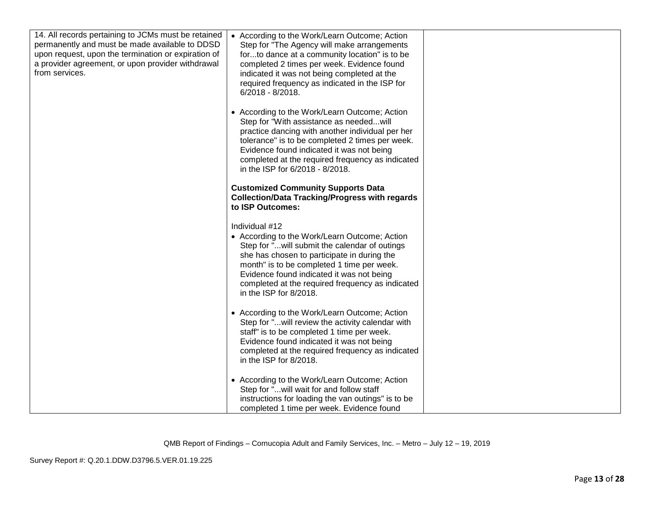| 14. All records pertaining to JCMs must be retained<br>permanently and must be made available to DDSD<br>upon request, upon the termination or expiration of<br>a provider agreement, or upon provider withdrawal<br>from services. | • According to the Work/Learn Outcome; Action<br>Step for "The Agency will make arrangements<br>forto dance at a community location" is to be<br>completed 2 times per week. Evidence found<br>indicated it was not being completed at the<br>required frequency as indicated in the ISP for<br>$6/2018 - 8/2018$ .                      |  |
|-------------------------------------------------------------------------------------------------------------------------------------------------------------------------------------------------------------------------------------|------------------------------------------------------------------------------------------------------------------------------------------------------------------------------------------------------------------------------------------------------------------------------------------------------------------------------------------|--|
|                                                                                                                                                                                                                                     | • According to the Work/Learn Outcome; Action<br>Step for "With assistance as neededwill<br>practice dancing with another individual per her<br>tolerance" is to be completed 2 times per week.<br>Evidence found indicated it was not being<br>completed at the required frequency as indicated<br>in the ISP for 6/2018 - 8/2018.      |  |
|                                                                                                                                                                                                                                     | <b>Customized Community Supports Data</b><br><b>Collection/Data Tracking/Progress with regards</b><br>to ISP Outcomes:                                                                                                                                                                                                                   |  |
|                                                                                                                                                                                                                                     | Individual #12<br>• According to the Work/Learn Outcome; Action<br>Step for "will submit the calendar of outings<br>she has chosen to participate in during the<br>month" is to be completed 1 time per week.<br>Evidence found indicated it was not being<br>completed at the required frequency as indicated<br>in the ISP for 8/2018. |  |
|                                                                                                                                                                                                                                     | • According to the Work/Learn Outcome; Action<br>Step for "will review the activity calendar with<br>staff" is to be completed 1 time per week.<br>Evidence found indicated it was not being<br>completed at the required frequency as indicated<br>in the ISP for 8/2018.                                                               |  |
|                                                                                                                                                                                                                                     | • According to the Work/Learn Outcome; Action<br>Step for "will wait for and follow staff<br>instructions for loading the van outings" is to be<br>completed 1 time per week. Evidence found                                                                                                                                             |  |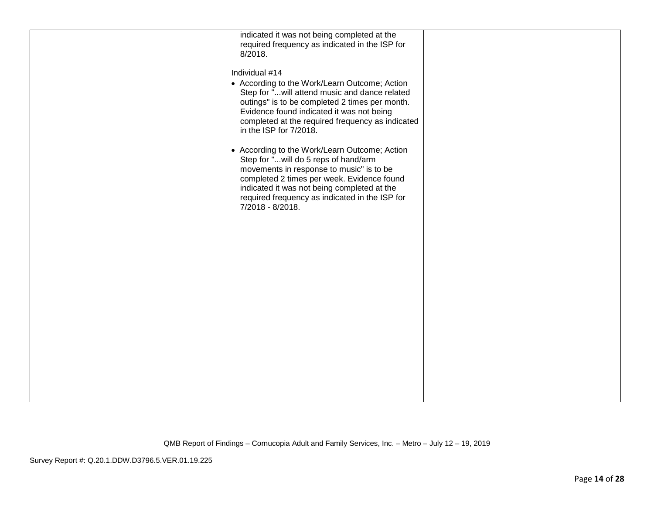| indicated it was not being completed at the<br>required frequency as indicated in the ISP for<br>8/2018.<br>Individual #14<br>• According to the Work/Learn Outcome; Action<br>Step for " will attend music and dance related<br>outings" is to be completed 2 times per month.<br>Evidence found indicated it was not being<br>completed at the required frequency as indicated<br>in the ISP for 7/2018.<br>• According to the Work/Learn Outcome; Action<br>Step for "will do 5 reps of hand/arm<br>movements in response to music" is to be<br>completed 2 times per week. Evidence found<br>indicated it was not being completed at the<br>required frequency as indicated in the ISP for<br>7/2018 - 8/2018. |  |
|--------------------------------------------------------------------------------------------------------------------------------------------------------------------------------------------------------------------------------------------------------------------------------------------------------------------------------------------------------------------------------------------------------------------------------------------------------------------------------------------------------------------------------------------------------------------------------------------------------------------------------------------------------------------------------------------------------------------|--|
|                                                                                                                                                                                                                                                                                                                                                                                                                                                                                                                                                                                                                                                                                                                    |  |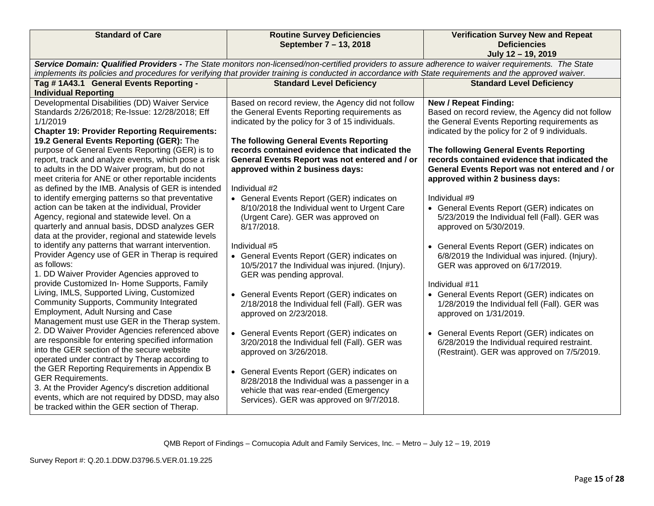|                                                                                                                                                                                                                                                                                                                                                                                                                                                                                                                                                                                                                                                                                                                                                                                                                                                                                                                                                                                                                                                                                                                                                                                                                                                                                                                                                                                                                                                                                                                                                                                                                | September 7 - 13, 2018                                                                                                                                                                                                                                                                                                                                                                                                                                                                                                                                                                                                                                                                                                                                                                                                                                                                                                                                                                                                                                                                          | <b>Verification Survey New and Repeat</b><br><b>Deficiencies</b><br>July 12 - 19, 2019                                                                                                                                                                                                                                                                                                                                                                                                                                                                                                                                                                                                                                                                                                                                                                                                                                                   |
|----------------------------------------------------------------------------------------------------------------------------------------------------------------------------------------------------------------------------------------------------------------------------------------------------------------------------------------------------------------------------------------------------------------------------------------------------------------------------------------------------------------------------------------------------------------------------------------------------------------------------------------------------------------------------------------------------------------------------------------------------------------------------------------------------------------------------------------------------------------------------------------------------------------------------------------------------------------------------------------------------------------------------------------------------------------------------------------------------------------------------------------------------------------------------------------------------------------------------------------------------------------------------------------------------------------------------------------------------------------------------------------------------------------------------------------------------------------------------------------------------------------------------------------------------------------------------------------------------------------|-------------------------------------------------------------------------------------------------------------------------------------------------------------------------------------------------------------------------------------------------------------------------------------------------------------------------------------------------------------------------------------------------------------------------------------------------------------------------------------------------------------------------------------------------------------------------------------------------------------------------------------------------------------------------------------------------------------------------------------------------------------------------------------------------------------------------------------------------------------------------------------------------------------------------------------------------------------------------------------------------------------------------------------------------------------------------------------------------|------------------------------------------------------------------------------------------------------------------------------------------------------------------------------------------------------------------------------------------------------------------------------------------------------------------------------------------------------------------------------------------------------------------------------------------------------------------------------------------------------------------------------------------------------------------------------------------------------------------------------------------------------------------------------------------------------------------------------------------------------------------------------------------------------------------------------------------------------------------------------------------------------------------------------------------|
| Service Domain: Qualified Providers - The State monitors non-licensed/non-certified providers to assure adherence to waiver requirements. The State<br>implements its policies and procedures for verifying that provider training is conducted in accordance with State requirements and the approved waiver.                                                                                                                                                                                                                                                                                                                                                                                                                                                                                                                                                                                                                                                                                                                                                                                                                                                                                                                                                                                                                                                                                                                                                                                                                                                                                                 |                                                                                                                                                                                                                                                                                                                                                                                                                                                                                                                                                                                                                                                                                                                                                                                                                                                                                                                                                                                                                                                                                                 |                                                                                                                                                                                                                                                                                                                                                                                                                                                                                                                                                                                                                                                                                                                                                                                                                                                                                                                                          |
| Tag #1A43.1 General Events Reporting -<br><b>Individual Reporting</b>                                                                                                                                                                                                                                                                                                                                                                                                                                                                                                                                                                                                                                                                                                                                                                                                                                                                                                                                                                                                                                                                                                                                                                                                                                                                                                                                                                                                                                                                                                                                          | <b>Standard Level Deficiency</b>                                                                                                                                                                                                                                                                                                                                                                                                                                                                                                                                                                                                                                                                                                                                                                                                                                                                                                                                                                                                                                                                | <b>Standard Level Deficiency</b>                                                                                                                                                                                                                                                                                                                                                                                                                                                                                                                                                                                                                                                                                                                                                                                                                                                                                                         |
| Developmental Disabilities (DD) Waiver Service<br>Standards 2/26/2018; Re-Issue: 12/28/2018; Eff<br>1/1/2019<br><b>Chapter 19: Provider Reporting Requirements:</b><br>19.2 General Events Reporting (GER): The<br>purpose of General Events Reporting (GER) is to<br>report, track and analyze events, which pose a risk<br>to adults in the DD Waiver program, but do not<br>meet criteria for ANE or other reportable incidents<br>as defined by the IMB. Analysis of GER is intended<br>to identify emerging patterns so that preventative<br>action can be taken at the individual, Provider<br>Agency, regional and statewide level. On a<br>quarterly and annual basis, DDSD analyzes GER<br>data at the provider, regional and statewide levels<br>to identify any patterns that warrant intervention.<br>Provider Agency use of GER in Therap is required<br>as follows:<br>1. DD Waiver Provider Agencies approved to<br>provide Customized In- Home Supports, Family<br>Living, IMLS, Supported Living, Customized<br>Community Supports, Community Integrated<br>Employment, Adult Nursing and Case<br>Management must use GER in the Therap system.<br>2. DD Waiver Provider Agencies referenced above<br>are responsible for entering specified information<br>into the GER section of the secure website<br>operated under contract by Therap according to<br>the GER Reporting Requirements in Appendix B<br><b>GER Requirements.</b><br>3. At the Provider Agency's discretion additional<br>events, which are not required by DDSD, may also<br>be tracked within the GER section of Therap. | Based on record review, the Agency did not follow<br>the General Events Reporting requirements as<br>indicated by the policy for 3 of 15 individuals.<br>The following General Events Reporting<br>records contained evidence that indicated the<br>General Events Report was not entered and / or<br>approved within 2 business days:<br>Individual #2<br>• General Events Report (GER) indicates on<br>8/10/2018 the Individual went to Urgent Care<br>(Urgent Care). GER was approved on<br>8/17/2018.<br>Individual #5<br>• General Events Report (GER) indicates on<br>10/5/2017 the Individual was injured. (Injury).<br>GER was pending approval.<br>• General Events Report (GER) indicates on<br>2/18/2018 the Individual fell (Fall). GER was<br>approved on 2/23/2018.<br>• General Events Report (GER) indicates on<br>3/20/2018 the Individual fell (Fall). GER was<br>approved on 3/26/2018.<br>• General Events Report (GER) indicates on<br>8/28/2018 the Individual was a passenger in a<br>vehicle that was rear-ended (Emergency<br>Services). GER was approved on 9/7/2018. | <b>New / Repeat Finding:</b><br>Based on record review, the Agency did not follow<br>the General Events Reporting requirements as<br>indicated by the policy for 2 of 9 individuals.<br>The following General Events Reporting<br>records contained evidence that indicated the<br>General Events Report was not entered and / or<br>approved within 2 business days:<br>Individual #9<br>• General Events Report (GER) indicates on<br>5/23/2019 the Individual fell (Fall). GER was<br>approved on 5/30/2019.<br>• General Events Report (GER) indicates on<br>6/8/2019 the Individual was injured. (Injury).<br>GER was approved on 6/17/2019.<br>Individual #11<br>• General Events Report (GER) indicates on<br>1/28/2019 the Individual fell (Fall). GER was<br>approved on 1/31/2019.<br>• General Events Report (GER) indicates on<br>6/28/2019 the Individual required restraint.<br>(Restraint). GER was approved on 7/5/2019. |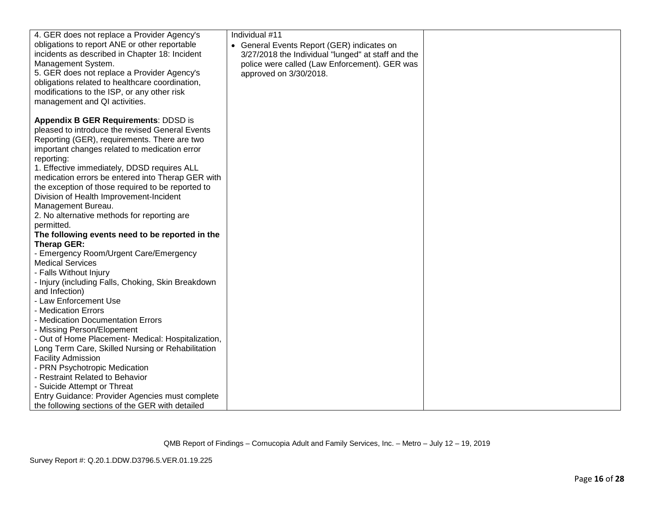| 4. GER does not replace a Provider Agency's        | Individual #11                                     |  |
|----------------------------------------------------|----------------------------------------------------|--|
| obligations to report ANE or other reportable      | • General Events Report (GER) indicates on         |  |
| incidents as described in Chapter 18: Incident     | 3/27/2018 the Individual "lunged" at staff and the |  |
| Management System.                                 | police were called (Law Enforcement). GER was      |  |
| 5. GER does not replace a Provider Agency's        | approved on 3/30/2018.                             |  |
| obligations related to healthcare coordination,    |                                                    |  |
| modifications to the ISP, or any other risk        |                                                    |  |
| management and QI activities.                      |                                                    |  |
|                                                    |                                                    |  |
| Appendix B GER Requirements: DDSD is               |                                                    |  |
| pleased to introduce the revised General Events    |                                                    |  |
| Reporting (GER), requirements. There are two       |                                                    |  |
| important changes related to medication error      |                                                    |  |
| reporting:                                         |                                                    |  |
| 1. Effective immediately, DDSD requires ALL        |                                                    |  |
| medication errors be entered into Therap GER with  |                                                    |  |
| the exception of those required to be reported to  |                                                    |  |
| Division of Health Improvement-Incident            |                                                    |  |
| Management Bureau.                                 |                                                    |  |
| 2. No alternative methods for reporting are        |                                                    |  |
| permitted.                                         |                                                    |  |
| The following events need to be reported in the    |                                                    |  |
| <b>Therap GER:</b>                                 |                                                    |  |
| - Emergency Room/Urgent Care/Emergency             |                                                    |  |
| <b>Medical Services</b>                            |                                                    |  |
| - Falls Without Injury                             |                                                    |  |
| - Injury (including Falls, Choking, Skin Breakdown |                                                    |  |
| and Infection)                                     |                                                    |  |
| - Law Enforcement Use                              |                                                    |  |
| - Medication Errors                                |                                                    |  |
| - Medication Documentation Errors                  |                                                    |  |
| - Missing Person/Elopement                         |                                                    |  |
| - Out of Home Placement- Medical: Hospitalization, |                                                    |  |
| Long Term Care, Skilled Nursing or Rehabilitation  |                                                    |  |
| <b>Facility Admission</b>                          |                                                    |  |
| - PRN Psychotropic Medication                      |                                                    |  |
| - Restraint Related to Behavior                    |                                                    |  |
| - Suicide Attempt or Threat                        |                                                    |  |
| Entry Guidance: Provider Agencies must complete    |                                                    |  |
| the following sections of the GER with detailed    |                                                    |  |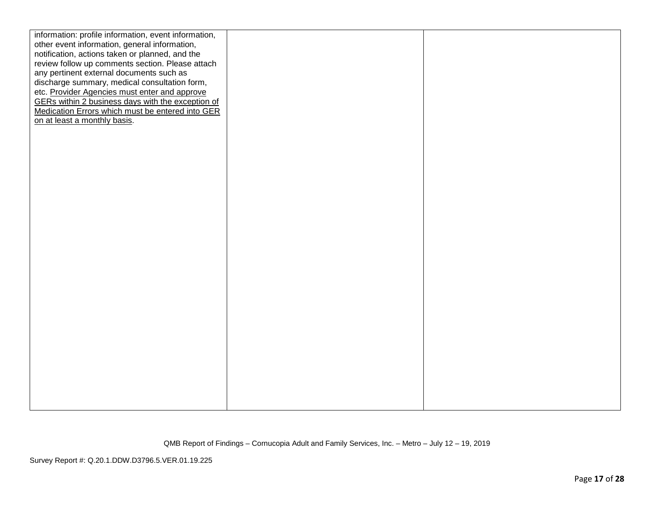| information: profile information, event information, |  |
|------------------------------------------------------|--|
| other event information, general information,        |  |
| notification, actions taken or planned, and the      |  |
| review follow up comments section. Please attach     |  |
| any pertinent external documents such as             |  |
| discharge summary, medical consultation form,        |  |
| etc. Provider Agencies must enter and approve        |  |
| GERs within 2 business days with the exception of    |  |
| Medication Errors which must be entered into GER     |  |
| on at least a monthly basis.                         |  |
|                                                      |  |
|                                                      |  |
|                                                      |  |
|                                                      |  |
|                                                      |  |
|                                                      |  |
|                                                      |  |
|                                                      |  |
|                                                      |  |
|                                                      |  |
|                                                      |  |
|                                                      |  |
|                                                      |  |
|                                                      |  |
|                                                      |  |
|                                                      |  |
|                                                      |  |
|                                                      |  |
|                                                      |  |
|                                                      |  |
|                                                      |  |
|                                                      |  |
|                                                      |  |
|                                                      |  |
|                                                      |  |
|                                                      |  |
|                                                      |  |
|                                                      |  |
|                                                      |  |
|                                                      |  |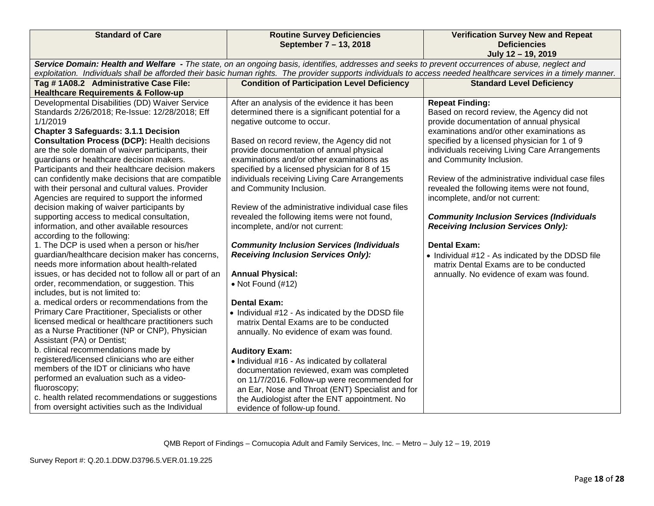| <b>Standard of Care</b>                                | <b>Routine Survey Deficiencies</b>                                                                                                                               | <b>Verification Survey New and Repeat</b>          |  |  |  |  |
|--------------------------------------------------------|------------------------------------------------------------------------------------------------------------------------------------------------------------------|----------------------------------------------------|--|--|--|--|
|                                                        | September 7 - 13, 2018                                                                                                                                           | <b>Deficiencies</b><br>July 12 - 19, 2019          |  |  |  |  |
|                                                        | Service Domain: Health and Welfare - The state, on an ongoing basis, identifies, addresses and seeks to prevent occurrences of abuse, neglect and                |                                                    |  |  |  |  |
|                                                        | exploitation. Individuals shall be afforded their basic human rights. The provider supports individuals to access needed healthcare services in a timely manner. |                                                    |  |  |  |  |
| Tag #1A08.2 Administrative Case File:                  | <b>Condition of Participation Level Deficiency</b>                                                                                                               | <b>Standard Level Deficiency</b>                   |  |  |  |  |
| <b>Healthcare Requirements &amp; Follow-up</b>         |                                                                                                                                                                  |                                                    |  |  |  |  |
| Developmental Disabilities (DD) Waiver Service         | After an analysis of the evidence it has been                                                                                                                    | <b>Repeat Finding:</b>                             |  |  |  |  |
| Standards 2/26/2018; Re-Issue: 12/28/2018; Eff         | determined there is a significant potential for a                                                                                                                | Based on record review, the Agency did not         |  |  |  |  |
| 1/1/2019                                               | negative outcome to occur.                                                                                                                                       | provide documentation of annual physical           |  |  |  |  |
| <b>Chapter 3 Safeguards: 3.1.1 Decision</b>            |                                                                                                                                                                  | examinations and/or other examinations as          |  |  |  |  |
| <b>Consultation Process (DCP): Health decisions</b>    | Based on record review, the Agency did not                                                                                                                       | specified by a licensed physician for 1 of 9       |  |  |  |  |
| are the sole domain of waiver participants, their      | provide documentation of annual physical                                                                                                                         | individuals receiving Living Care Arrangements     |  |  |  |  |
| guardians or healthcare decision makers.               | examinations and/or other examinations as                                                                                                                        | and Community Inclusion.                           |  |  |  |  |
| Participants and their healthcare decision makers      | specified by a licensed physician for 8 of 15                                                                                                                    |                                                    |  |  |  |  |
| can confidently make decisions that are compatible     | individuals receiving Living Care Arrangements                                                                                                                   | Review of the administrative individual case files |  |  |  |  |
| with their personal and cultural values. Provider      | and Community Inclusion.                                                                                                                                         | revealed the following items were not found,       |  |  |  |  |
| Agencies are required to support the informed          |                                                                                                                                                                  | incomplete, and/or not current:                    |  |  |  |  |
| decision making of waiver participants by              | Review of the administrative individual case files                                                                                                               |                                                    |  |  |  |  |
| supporting access to medical consultation,             | revealed the following items were not found,                                                                                                                     | <b>Community Inclusion Services (Individuals</b>   |  |  |  |  |
| information, and other available resources             | incomplete, and/or not current:                                                                                                                                  | <b>Receiving Inclusion Services Only):</b>         |  |  |  |  |
| according to the following:                            |                                                                                                                                                                  |                                                    |  |  |  |  |
| 1. The DCP is used when a person or his/her            | <b>Community Inclusion Services (Individuals</b>                                                                                                                 | <b>Dental Exam:</b>                                |  |  |  |  |
| guardian/healthcare decision maker has concerns,       | <b>Receiving Inclusion Services Only):</b>                                                                                                                       | • Individual #12 - As indicated by the DDSD file   |  |  |  |  |
| needs more information about health-related            |                                                                                                                                                                  | matrix Dental Exams are to be conducted            |  |  |  |  |
| issues, or has decided not to follow all or part of an | <b>Annual Physical:</b>                                                                                                                                          | annually. No evidence of exam was found.           |  |  |  |  |
| order, recommendation, or suggestion. This             | $\bullet$ Not Found (#12)                                                                                                                                        |                                                    |  |  |  |  |
| includes, but is not limited to:                       |                                                                                                                                                                  |                                                    |  |  |  |  |
| a. medical orders or recommendations from the          | <b>Dental Exam:</b>                                                                                                                                              |                                                    |  |  |  |  |
| Primary Care Practitioner, Specialists or other        | • Individual #12 - As indicated by the DDSD file                                                                                                                 |                                                    |  |  |  |  |
| licensed medical or healthcare practitioners such      | matrix Dental Exams are to be conducted                                                                                                                          |                                                    |  |  |  |  |
| as a Nurse Practitioner (NP or CNP), Physician         | annually. No evidence of exam was found.                                                                                                                         |                                                    |  |  |  |  |
| Assistant (PA) or Dentist;                             |                                                                                                                                                                  |                                                    |  |  |  |  |
| b. clinical recommendations made by                    | <b>Auditory Exam:</b>                                                                                                                                            |                                                    |  |  |  |  |
| registered/licensed clinicians who are either          | • Individual #16 - As indicated by collateral                                                                                                                    |                                                    |  |  |  |  |
| members of the IDT or clinicians who have              | documentation reviewed, exam was completed                                                                                                                       |                                                    |  |  |  |  |
| performed an evaluation such as a video-               | on 11/7/2016. Follow-up were recommended for                                                                                                                     |                                                    |  |  |  |  |
| fluoroscopy;                                           | an Ear, Nose and Throat (ENT) Specialist and for                                                                                                                 |                                                    |  |  |  |  |
| c. health related recommendations or suggestions       | the Audiologist after the ENT appointment. No                                                                                                                    |                                                    |  |  |  |  |
| from oversight activities such as the Individual       | evidence of follow-up found.                                                                                                                                     |                                                    |  |  |  |  |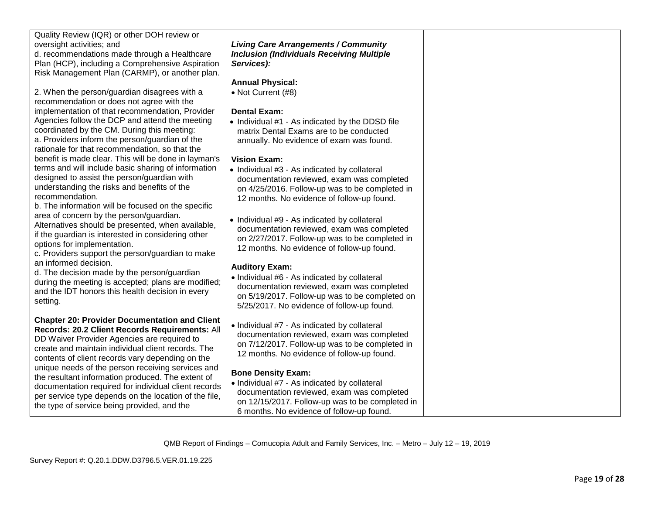| Quality Review (IQR) or other DOH review or<br>oversight activities; and          | <b>Living Care Arrangements / Community</b>                                                  |  |
|-----------------------------------------------------------------------------------|----------------------------------------------------------------------------------------------|--|
| d. recommendations made through a Healthcare                                      | <b>Inclusion (Individuals Receiving Multiple</b>                                             |  |
| Plan (HCP), including a Comprehensive Aspiration                                  | Services):                                                                                   |  |
| Risk Management Plan (CARMP), or another plan.                                    |                                                                                              |  |
|                                                                                   | <b>Annual Physical:</b>                                                                      |  |
| 2. When the person/guardian disagrees with a                                      | • Not Current (#8)                                                                           |  |
| recommendation or does not agree with the                                         |                                                                                              |  |
| implementation of that recommendation, Provider                                   | <b>Dental Exam:</b>                                                                          |  |
| Agencies follow the DCP and attend the meeting                                    | • Individual #1 - As indicated by the DDSD file                                              |  |
| coordinated by the CM. During this meeting:                                       | matrix Dental Exams are to be conducted                                                      |  |
| a. Providers inform the person/guardian of the                                    | annually. No evidence of exam was found.                                                     |  |
| rationale for that recommendation, so that the                                    |                                                                                              |  |
| benefit is made clear. This will be done in layman's                              | <b>Vision Exam:</b>                                                                          |  |
| terms and will include basic sharing of information                               | • Individual #3 - As indicated by collateral                                                 |  |
| designed to assist the person/guardian with                                       | documentation reviewed, exam was completed                                                   |  |
| understanding the risks and benefits of the                                       | on 4/25/2016. Follow-up was to be completed in                                               |  |
| recommendation.                                                                   | 12 months. No evidence of follow-up found.                                                   |  |
| b. The information will be focused on the specific                                |                                                                                              |  |
| area of concern by the person/guardian.                                           | • Individual #9 - As indicated by collateral                                                 |  |
| Alternatives should be presented, when available,                                 | documentation reviewed, exam was completed                                                   |  |
| if the guardian is interested in considering other<br>options for implementation. | on 2/27/2017. Follow-up was to be completed in                                               |  |
| c. Providers support the person/guardian to make                                  | 12 months. No evidence of follow-up found.                                                   |  |
| an informed decision.                                                             |                                                                                              |  |
| d. The decision made by the person/guardian                                       | <b>Auditory Exam:</b>                                                                        |  |
| during the meeting is accepted; plans are modified;                               | • Individual #6 - As indicated by collateral                                                 |  |
| and the IDT honors this health decision in every                                  | documentation reviewed, exam was completed                                                   |  |
| setting.                                                                          | on 5/19/2017. Follow-up was to be completed on                                               |  |
|                                                                                   | 5/25/2017. No evidence of follow-up found.                                                   |  |
| <b>Chapter 20: Provider Documentation and Client</b>                              |                                                                                              |  |
| Records: 20.2 Client Records Requirements: All                                    | • Individual #7 - As indicated by collateral                                                 |  |
| DD Waiver Provider Agencies are required to                                       | documentation reviewed, exam was completed<br>on 7/12/2017. Follow-up was to be completed in |  |
| create and maintain individual client records. The                                | 12 months. No evidence of follow-up found.                                                   |  |
| contents of client records vary depending on the                                  |                                                                                              |  |
| unique needs of the person receiving services and                                 | <b>Bone Density Exam:</b>                                                                    |  |
| the resultant information produced. The extent of                                 | • Individual #7 - As indicated by collateral                                                 |  |
| documentation required for individual client records                              | documentation reviewed, exam was completed                                                   |  |
| per service type depends on the location of the file,                             | on 12/15/2017. Follow-up was to be completed in                                              |  |
| the type of service being provided, and the                                       | 6 months. No evidence of follow-up found.                                                    |  |
|                                                                                   |                                                                                              |  |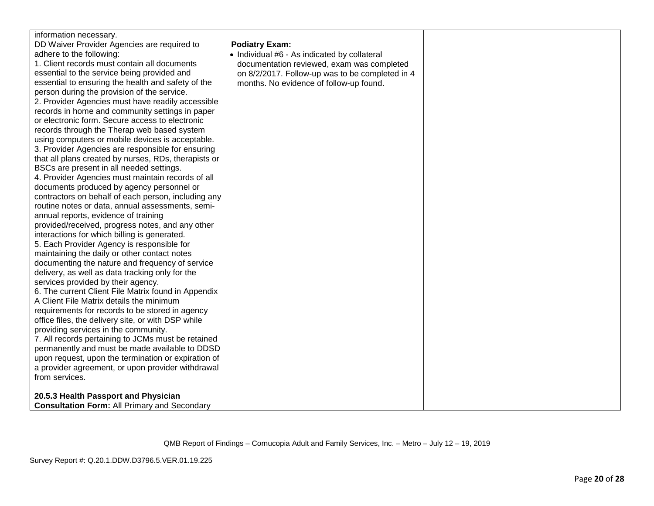| information necessary.<br>DD Waiver Provider Agencies are required to<br><b>Podiatry Exam:</b><br>adhere to the following:<br>• Individual #6 - As indicated by collateral<br>1. Client records must contain all documents<br>documentation reviewed, exam was completed<br>essential to the service being provided and<br>on 8/2/2017. Follow-up was to be completed in 4<br>essential to ensuring the health and safety of the<br>months. No evidence of follow-up found.<br>person during the provision of the service.<br>2. Provider Agencies must have readily accessible<br>records in home and community settings in paper<br>or electronic form. Secure access to electronic<br>records through the Therap web based system<br>using computers or mobile devices is acceptable.<br>3. Provider Agencies are responsible for ensuring<br>that all plans created by nurses, RDs, therapists or<br>BSCs are present in all needed settings.<br>4. Provider Agencies must maintain records of all<br>documents produced by agency personnel or<br>contractors on behalf of each person, including any<br>routine notes or data, annual assessments, semi-<br>annual reports, evidence of training<br>provided/received, progress notes, and any other<br>interactions for which billing is generated.<br>5. Each Provider Agency is responsible for<br>maintaining the daily or other contact notes<br>documenting the nature and frequency of service<br>delivery, as well as data tracking only for the<br>services provided by their agency.<br>6. The current Client File Matrix found in Appendix<br>A Client File Matrix details the minimum<br>requirements for records to be stored in agency<br>office files, the delivery site, or with DSP while<br>providing services in the community.<br>7. All records pertaining to JCMs must be retained<br>permanently and must be made available to DDSD<br>upon request, upon the termination or expiration of<br>a provider agreement, or upon provider withdrawal<br>from services.<br>20.5.3 Health Passport and Physician<br><b>Consultation Form: All Primary and Secondary</b> |
|-----------------------------------------------------------------------------------------------------------------------------------------------------------------------------------------------------------------------------------------------------------------------------------------------------------------------------------------------------------------------------------------------------------------------------------------------------------------------------------------------------------------------------------------------------------------------------------------------------------------------------------------------------------------------------------------------------------------------------------------------------------------------------------------------------------------------------------------------------------------------------------------------------------------------------------------------------------------------------------------------------------------------------------------------------------------------------------------------------------------------------------------------------------------------------------------------------------------------------------------------------------------------------------------------------------------------------------------------------------------------------------------------------------------------------------------------------------------------------------------------------------------------------------------------------------------------------------------------------------------------------------------------------------------------------------------------------------------------------------------------------------------------------------------------------------------------------------------------------------------------------------------------------------------------------------------------------------------------------------------------------------------------------------------------------------------------------------------------------------------------------------------------|
|-----------------------------------------------------------------------------------------------------------------------------------------------------------------------------------------------------------------------------------------------------------------------------------------------------------------------------------------------------------------------------------------------------------------------------------------------------------------------------------------------------------------------------------------------------------------------------------------------------------------------------------------------------------------------------------------------------------------------------------------------------------------------------------------------------------------------------------------------------------------------------------------------------------------------------------------------------------------------------------------------------------------------------------------------------------------------------------------------------------------------------------------------------------------------------------------------------------------------------------------------------------------------------------------------------------------------------------------------------------------------------------------------------------------------------------------------------------------------------------------------------------------------------------------------------------------------------------------------------------------------------------------------------------------------------------------------------------------------------------------------------------------------------------------------------------------------------------------------------------------------------------------------------------------------------------------------------------------------------------------------------------------------------------------------------------------------------------------------------------------------------------------------|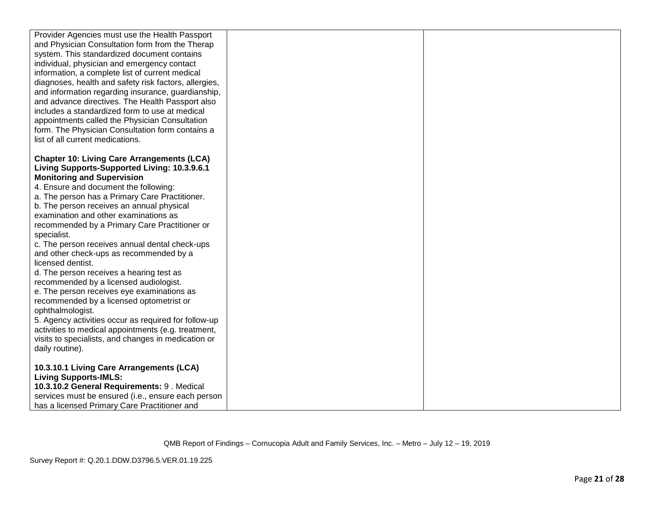| Provider Agencies must use the Health Passport<br>and Physician Consultation form from the Therap<br>system. This standardized document contains<br>individual, physician and emergency contact<br>information, a complete list of current medical<br>diagnoses, health and safety risk factors, allergies,<br>and information regarding insurance, guardianship,<br>and advance directives. The Health Passport also<br>includes a standardized form to use at medical<br>appointments called the Physician Consultation<br>form. The Physician Consultation form contains a<br>list of all current medications.                                                                                                                                                                                                                                                                                      |  |
|--------------------------------------------------------------------------------------------------------------------------------------------------------------------------------------------------------------------------------------------------------------------------------------------------------------------------------------------------------------------------------------------------------------------------------------------------------------------------------------------------------------------------------------------------------------------------------------------------------------------------------------------------------------------------------------------------------------------------------------------------------------------------------------------------------------------------------------------------------------------------------------------------------|--|
| <b>Chapter 10: Living Care Arrangements (LCA)</b><br>Living Supports-Supported Living: 10.3.9.6.1<br><b>Monitoring and Supervision</b><br>4. Ensure and document the following:<br>a. The person has a Primary Care Practitioner.<br>b. The person receives an annual physical<br>examination and other examinations as<br>recommended by a Primary Care Practitioner or<br>specialist.<br>c. The person receives annual dental check-ups<br>and other check-ups as recommended by a<br>licensed dentist.<br>d. The person receives a hearing test as<br>recommended by a licensed audiologist.<br>e. The person receives eye examinations as<br>recommended by a licensed optometrist or<br>ophthalmologist.<br>5. Agency activities occur as required for follow-up<br>activities to medical appointments (e.g. treatment,<br>visits to specialists, and changes in medication or<br>daily routine). |  |
| 10.3.10.1 Living Care Arrangements (LCA)<br><b>Living Supports-IMLS:</b><br>10.3.10.2 General Requirements: 9. Medical<br>services must be ensured (i.e., ensure each person<br>has a licensed Primary Care Practitioner and                                                                                                                                                                                                                                                                                                                                                                                                                                                                                                                                                                                                                                                                           |  |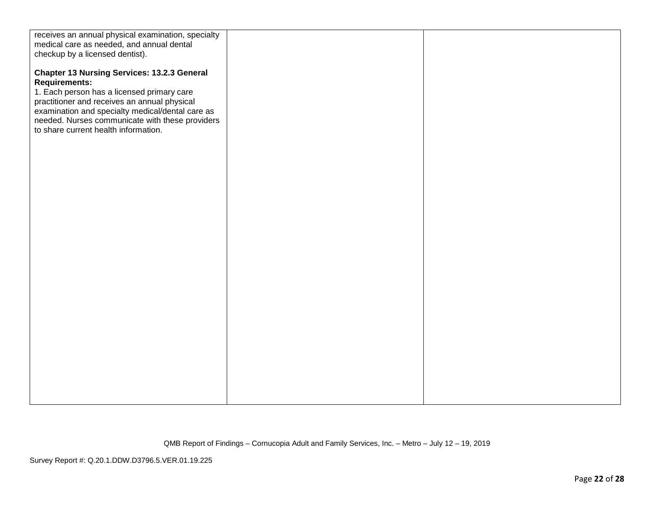| receives an annual physical examination, specialty<br>medical care as needed, and annual dental<br>checkup by a licensed dentist).                                                                                                                                              |  |
|---------------------------------------------------------------------------------------------------------------------------------------------------------------------------------------------------------------------------------------------------------------------------------|--|
| <b>Chapter 13 Nursing Services: 13.2.3 General</b><br><b>Requirements:</b><br>1. Each person has a licensed primary care<br>practitioner and receives an annual physical<br>examination and specialty medical/dental care as<br>needed. Nurses communicate with these providers |  |
| to share current health information.                                                                                                                                                                                                                                            |  |
|                                                                                                                                                                                                                                                                                 |  |
|                                                                                                                                                                                                                                                                                 |  |
|                                                                                                                                                                                                                                                                                 |  |
|                                                                                                                                                                                                                                                                                 |  |
|                                                                                                                                                                                                                                                                                 |  |
|                                                                                                                                                                                                                                                                                 |  |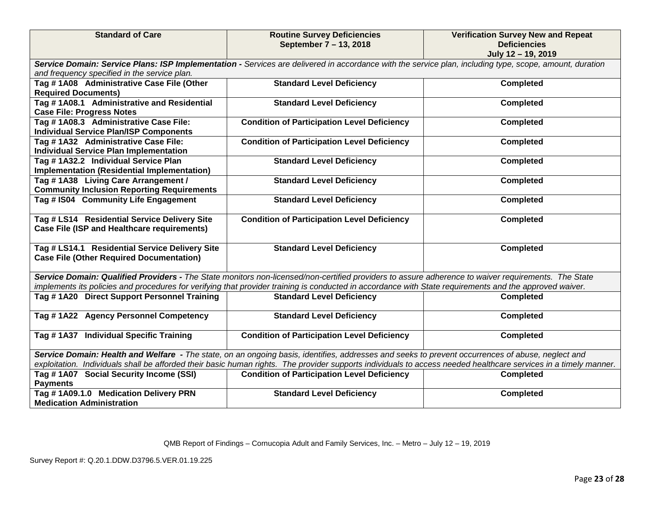| <b>Standard of Care</b>                                                                                                                                                                                                                                                                                               | <b>Routine Survey Deficiencies</b><br>September 7 - 13, 2018 | <b>Verification Survey New and Repeat</b><br><b>Deficiencies</b><br>July 12 - 19, 2019 |
|-----------------------------------------------------------------------------------------------------------------------------------------------------------------------------------------------------------------------------------------------------------------------------------------------------------------------|--------------------------------------------------------------|----------------------------------------------------------------------------------------|
| Service Domain: Service Plans: ISP Implementation - Services are delivered in accordance with the service plan, including type, scope, amount, duration<br>and frequency specified in the service plan.                                                                                                               |                                                              |                                                                                        |
| Tag #1A08 Administrative Case File (Other<br><b>Required Documents)</b>                                                                                                                                                                                                                                               | <b>Standard Level Deficiency</b>                             | <b>Completed</b>                                                                       |
| Tag #1A08.1 Administrative and Residential<br><b>Case File: Progress Notes</b>                                                                                                                                                                                                                                        | <b>Standard Level Deficiency</b>                             | <b>Completed</b>                                                                       |
| Tag #1A08.3 Administrative Case File:<br><b>Individual Service Plan/ISP Components</b>                                                                                                                                                                                                                                | <b>Condition of Participation Level Deficiency</b>           | <b>Completed</b>                                                                       |
| Tag #1A32 Administrative Case File:<br><b>Individual Service Plan Implementation</b>                                                                                                                                                                                                                                  | <b>Condition of Participation Level Deficiency</b>           | <b>Completed</b>                                                                       |
| Tag #1A32.2 Individual Service Plan<br>Implementation (Residential Implementation)                                                                                                                                                                                                                                    | <b>Standard Level Deficiency</b>                             | <b>Completed</b>                                                                       |
| Tag #1A38 Living Care Arrangement /<br><b>Community Inclusion Reporting Requirements</b>                                                                                                                                                                                                                              | <b>Standard Level Deficiency</b>                             | <b>Completed</b>                                                                       |
| Tag # IS04 Community Life Engagement                                                                                                                                                                                                                                                                                  | <b>Standard Level Deficiency</b>                             | <b>Completed</b>                                                                       |
| Tag # LS14 Residential Service Delivery Site<br>Case File (ISP and Healthcare requirements)                                                                                                                                                                                                                           | <b>Condition of Participation Level Deficiency</b>           | <b>Completed</b>                                                                       |
| Tag # LS14.1 Residential Service Delivery Site<br><b>Case File (Other Required Documentation)</b>                                                                                                                                                                                                                     | <b>Standard Level Deficiency</b>                             | <b>Completed</b>                                                                       |
| Service Domain: Qualified Providers - The State monitors non-licensed/non-certified providers to assure adherence to waiver requirements. The State<br>implements its policies and procedures for verifying that provider training is conducted in accordance with State requirements and the approved waiver.        |                                                              |                                                                                        |
| Tag #1A20 Direct Support Personnel Training                                                                                                                                                                                                                                                                           | <b>Standard Level Deficiency</b>                             | <b>Completed</b>                                                                       |
|                                                                                                                                                                                                                                                                                                                       |                                                              |                                                                                        |
| Tag #1A22 Agency Personnel Competency                                                                                                                                                                                                                                                                                 | <b>Standard Level Deficiency</b>                             | <b>Completed</b>                                                                       |
| Tag #1A37 Individual Specific Training                                                                                                                                                                                                                                                                                | <b>Condition of Participation Level Deficiency</b>           | <b>Completed</b>                                                                       |
| Service Domain: Health and Welfare - The state, on an ongoing basis, identifies, addresses and seeks to prevent occurrences of abuse, neglect and<br>exploitation. Individuals shall be afforded their basic human rights. The provider supports individuals to access needed healthcare services in a timely manner. |                                                              |                                                                                        |
| Tag # 1A07 Social Security Income (SSI)<br><b>Payments</b>                                                                                                                                                                                                                                                            | <b>Condition of Participation Level Deficiency</b>           | <b>Completed</b>                                                                       |
| Tag #1A09.1.0 Medication Delivery PRN<br><b>Medication Administration</b>                                                                                                                                                                                                                                             | <b>Standard Level Deficiency</b>                             | <b>Completed</b>                                                                       |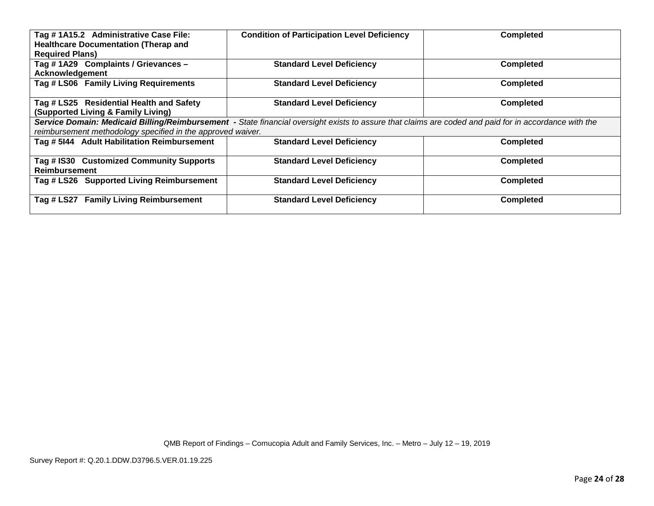| Tag #1A15.2 Administrative Case File:<br><b>Healthcare Documentation (Therap and</b><br><b>Required Plans)</b>                                                                                                       | <b>Condition of Participation Level Deficiency</b> | <b>Completed</b> |
|----------------------------------------------------------------------------------------------------------------------------------------------------------------------------------------------------------------------|----------------------------------------------------|------------------|
| Tag #1A29 Complaints / Grievances -<br>Acknowledgement                                                                                                                                                               | <b>Standard Level Deficiency</b>                   | <b>Completed</b> |
| Tag # LS06 Family Living Requirements                                                                                                                                                                                | <b>Standard Level Deficiency</b>                   | <b>Completed</b> |
| Tag # LS25 Residential Health and Safety<br>(Supported Living & Family Living)                                                                                                                                       | <b>Standard Level Deficiency</b>                   | <b>Completed</b> |
| Service Domain: Medicaid Billing/Reimbursement - State financial oversight exists to assure that claims are coded and paid for in accordance with the<br>reimbursement methodology specified in the approved waiver. |                                                    |                  |
| Tag # 5144 Adult Habilitation Reimbursement                                                                                                                                                                          | <b>Standard Level Deficiency</b>                   | <b>Completed</b> |
| Tag # IS30 Customized Community Supports<br><b>Reimbursement</b>                                                                                                                                                     | <b>Standard Level Deficiency</b>                   | <b>Completed</b> |
| Tag # LS26 Supported Living Reimbursement                                                                                                                                                                            | <b>Standard Level Deficiency</b>                   | <b>Completed</b> |
| Tag # LS27 Family Living Reimbursement                                                                                                                                                                               | <b>Standard Level Deficiency</b>                   | <b>Completed</b> |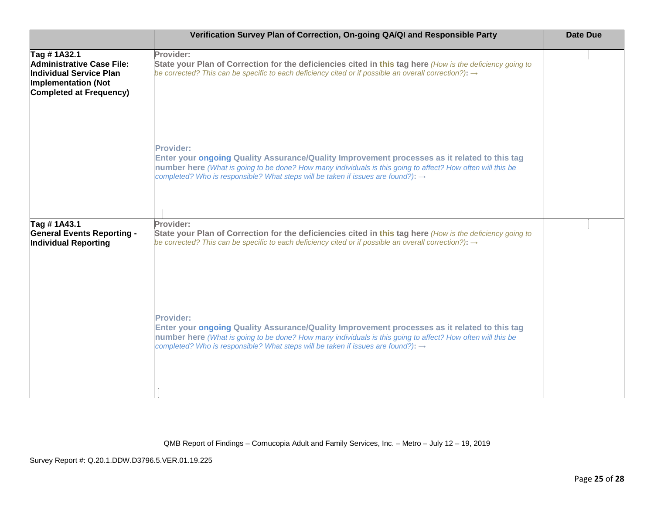|                                                                                                                                     | Verification Survey Plan of Correction, On-going QA/QI and Responsible Party                                                                                                                                                                                                                                                    | <b>Date Due</b> |
|-------------------------------------------------------------------------------------------------------------------------------------|---------------------------------------------------------------------------------------------------------------------------------------------------------------------------------------------------------------------------------------------------------------------------------------------------------------------------------|-----------------|
| Tag #1A32.1<br>Administrative Case File:<br>Individual Service Plan<br><b>Implementation (Not</b><br><b>Completed at Frequency)</b> | Provider:<br>State your Plan of Correction for the deficiencies cited in this tag here (How is the deficiency going to<br>be corrected? This can be specific to each deficiency cited or if possible an overall correction?): $\rightarrow$                                                                                     |                 |
|                                                                                                                                     | <b>Provider:</b><br>Enter your ongoing Quality Assurance/Quality Improvement processes as it related to this tag<br>number here (What is going to be done? How many individuals is this going to affect? How often will this be<br>completed? Who is responsible? What steps will be taken if issues are found?): $\rightarrow$ |                 |
| Tag #1A43.1                                                                                                                         | Provider:                                                                                                                                                                                                                                                                                                                       |                 |
| <b>General Events Reporting -</b><br>Individual Reporting                                                                           | State your Plan of Correction for the deficiencies cited in this tag here (How is the deficiency going to<br>be corrected? This can be specific to each deficiency cited or if possible an overall correction?): $\rightarrow$                                                                                                  |                 |
|                                                                                                                                     | <b>Provider:</b><br>Enter your ongoing Quality Assurance/Quality Improvement processes as it related to this tag<br>number here (What is going to be done? How many individuals is this going to affect? How often will this be<br>completed? Who is responsible? What steps will be taken if issues are found?): $\rightarrow$ |                 |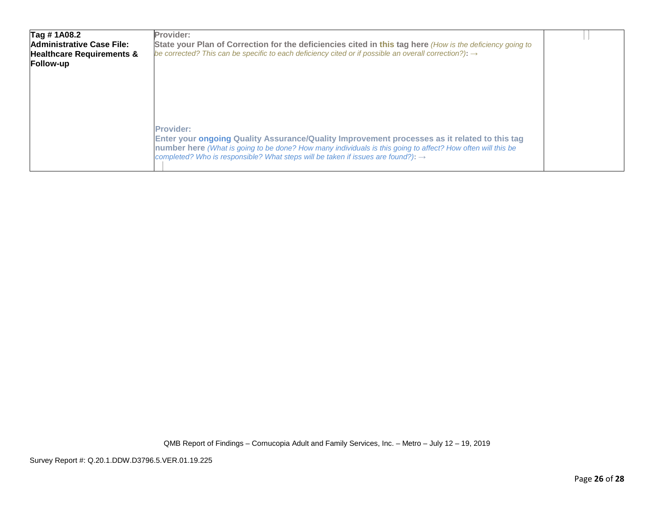| Tag #1A08.2                          | Provider:                                                                                                         |  |
|--------------------------------------|-------------------------------------------------------------------------------------------------------------------|--|
| Administrative Case File:            | State your Plan of Correction for the deficiencies cited in this tag here (How is the deficiency going to         |  |
| <b>Healthcare Requirements &amp;</b> | be corrected? This can be specific to each deficiency cited or if possible an overall correction?): $\rightarrow$ |  |
| Follow-up                            |                                                                                                                   |  |
|                                      |                                                                                                                   |  |
|                                      |                                                                                                                   |  |
|                                      |                                                                                                                   |  |
|                                      |                                                                                                                   |  |
|                                      |                                                                                                                   |  |
|                                      |                                                                                                                   |  |
|                                      | <b>Provider:</b>                                                                                                  |  |
|                                      | Enter your ongoing Quality Assurance/Quality Improvement processes as it related to this tag                      |  |
|                                      | number here (What is going to be done? How many individuals is this going to affect? How often will this be       |  |
|                                      | completed? Who is responsible? What steps will be taken if issues are found?): $\rightarrow$                      |  |
|                                      |                                                                                                                   |  |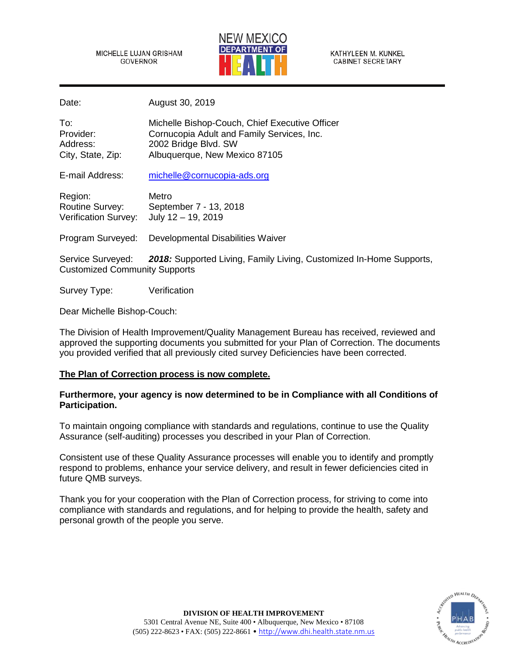MICHELLE LUJAN GRISHAM GOVERNOR



KATHYLEEN M. KUNKEL **CABINET SECRETARY** 

Date: August 30, 2019

| To:               | Michelle Bishop-Couch, Chief Executive Officer |
|-------------------|------------------------------------------------|
| Provider:         | Cornucopia Adult and Family Services, Inc.     |
| Address:          | 2002 Bridge Blvd. SW                           |
| City, State, Zip: | Albuquerque, New Mexico 87105                  |

E-mail Address: [michelle@cornucopia-ads.org](mailto:michelle@cornucopia-ads.org)

| Region:                | Metro                  |
|------------------------|------------------------|
| <b>Routine Survey:</b> | September 7 - 13, 2018 |
| Verification Survey:   | July 12 - 19, 2019     |

Program Surveyed: Developmental Disabilities Waiver

Service Surveyed: *2018:* Supported Living, Family Living, Customized In-Home Supports, Customized Community Supports

Survey Type: Verification

Dear Michelle Bishop-Couch:

The Division of Health Improvement/Quality Management Bureau has received, reviewed and approved the supporting documents you submitted for your Plan of Correction. The documents you provided verified that all previously cited survey Deficiencies have been corrected.

# **The Plan of Correction process is now complete.**

# **Furthermore, your agency is now determined to be in Compliance with all Conditions of Participation.**

To maintain ongoing compliance with standards and regulations, continue to use the Quality Assurance (self-auditing) processes you described in your Plan of Correction.

Consistent use of these Quality Assurance processes will enable you to identify and promptly respond to problems, enhance your service delivery, and result in fewer deficiencies cited in future QMB surveys.

Thank you for your cooperation with the Plan of Correction process, for striving to come into compliance with standards and regulations, and for helping to provide the health, safety and personal growth of the people you serve.